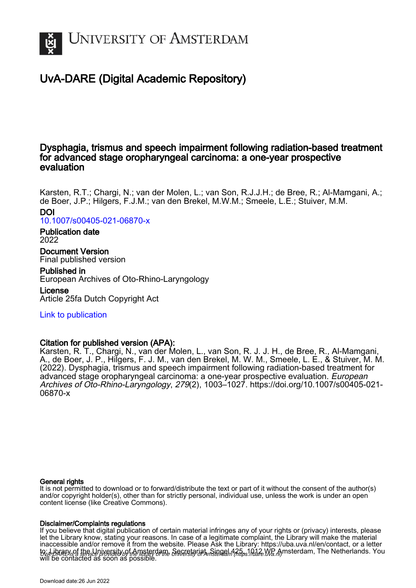

# UvA-DARE (Digital Academic Repository)

# Dysphagia, trismus and speech impairment following radiation-based treatment for advanced stage oropharyngeal carcinoma: a one-year prospective evaluation

Karsten, R.T.; Chargi, N.; van der Molen, L.; van Son, R.J.J.H.; de Bree, R.; Al-Mamgani, A.; de Boer, J.P.; Hilgers, F.J.M.; van den Brekel, M.W.M.; Smeele, L.E.; Stuiver, M.M.

# DOI

[10.1007/s00405-021-06870-x](https://doi.org/10.1007/s00405-021-06870-x)

## Publication date 2022

Document Version Final published version

# Published in

European Archives of Oto-Rhino-Laryngology

License

Article 25fa Dutch Copyright Act

# [Link to publication](https://dare.uva.nl/personal/pure/en/publications/dysphagia-trismus-and-speech-impairment-following-radiationbased-treatment-for-advanced-stage-oropharyngeal-carcinoma-a-oneyear-prospective-evaluation(c64d4937-79d8-43c0-b062-ba7d938b5dcf).html)

# Citation for published version (APA):

Karsten, R. T., Chargi, N., van der Molen, L., van Son, R. J. J. H., de Bree, R., Al-Mamgani, A., de Boer, J. P., Hilgers, F. J. M., van den Brekel, M. W. M., Smeele, L. E., & Stuiver, M. M. (2022). Dysphagia, trismus and speech impairment following radiation-based treatment for advanced stage oropharyngeal carcinoma: a one-year prospective evaluation. European Archives of Oto-Rhino-Laryngology, 279(2), 1003–1027. [https://doi.org/10.1007/s00405-021-](https://doi.org/10.1007/s00405-021-06870-x) [06870-x](https://doi.org/10.1007/s00405-021-06870-x)

# General rights

It is not permitted to download or to forward/distribute the text or part of it without the consent of the author(s) and/or copyright holder(s), other than for strictly personal, individual use, unless the work is under an open content license (like Creative Commons).

# Disclaimer/Complaints regulations

to: Libra*evis* af the Lipiversity of Amsterdam, Secretariat, Singel 425, 1012 WB Amsterdam, The Netherlands. You If you believe that digital publication of certain material infringes any of your rights or (privacy) interests, please let the Library know, stating your reasons. In case of a legitimate complaint, the Library will make the material inaccessible and/or remove it from the website. Please Ask the Library: https://uba.uva.nl/en/contact, or a letter will be contacted as soon as possible.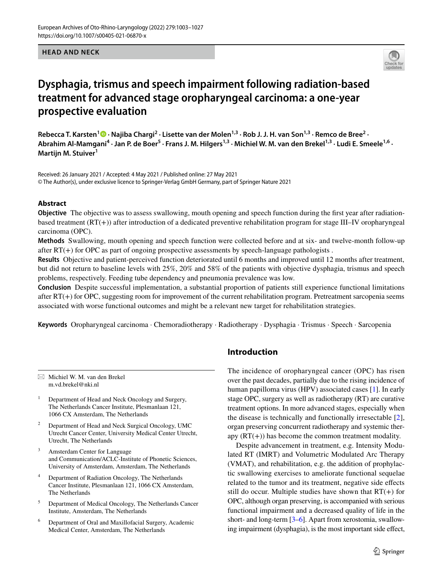#### **HEAD AND NECK**



# **Dysphagia, trismus and speech impairment following radiation‑based treatment for advanced stage oropharyngeal carcinoma: a one‑year prospective evaluation**

RebeccaT. Karsten<sup>1</sup> <sup>1</sup> · Najiba Chargi<sup>2</sup> · Lisette van der Molen<sup>1,3</sup> · Rob J. J. H. van Son<sup>1,3</sup> · Remco de Bree<sup>2</sup> · Abrahim Al-Mamgani<sup>4</sup> · Jan P. de Boer<sup>5</sup> · Frans J. M. Hilgers<sup>1,3</sup> · Michiel W. M. van den Brekel<sup>1,3</sup> · Ludi E. Smeele<sup>1,6</sup> · **Martijn M. Stuiver1**

Received: 26 January 2021 / Accepted: 4 May 2021 / Published online: 27 May 2021 © The Author(s), under exclusive licence to Springer-Verlag GmbH Germany, part of Springer Nature 2021

#### **Abstract**

**Objective** The objective was to assess swallowing, mouth opening and speech function during the first year after radiationbased treatment (RT(+)) after introduction of a dedicated preventive rehabilitation program for stage III–IV oropharyngeal carcinoma (OPC).

**Methods** Swallowing, mouth opening and speech function were collected before and at six- and twelve-month follow-up after RT(+) for OPC as part of ongoing prospective assessments by speech-language pathologists .

**Results** Objective and patient-perceived function deteriorated until 6 months and improved until 12 months after treatment, but did not return to baseline levels with 25%, 20% and 58% of the patients with objective dysphagia, trismus and speech problems, respectively. Feeding tube dependency and pneumonia prevalence was low.

**Conclusion** Despite successful implementation, a substantial proportion of patients still experience functional limitations after RT(+) for OPC, suggesting room for improvement of the current rehabilitation program. Pretreatment sarcopenia seems associated with worse functional outcomes and might be a relevant new target for rehabilitation strategies.

**Keywords** Oropharyngeal carcinoma · Chemoradiotherapy · Radiotherapy · Dysphagia · Trismus · Speech · Sarcopenia

 $\boxtimes$  Michiel W. M. van den Brekel m.vd.brekel@nki.nl

- <sup>1</sup> Department of Head and Neck Oncology and Surgery, The Netherlands Cancer Institute, Plesmanlaan 121, 1066 CX Amsterdam, The Netherlands
- <sup>2</sup> Department of Head and Neck Surgical Oncology, UMC Utrecht Cancer Center, University Medical Center Utrecht, Utrecht, The Netherlands
- Amsterdam Center for Language and Communication/ACLC-Institute of Phonetic Sciences, University of Amsterdam, Amsterdam, The Netherlands
- Department of Radiation Oncology, The Netherlands Cancer Institute, Plesmanlaan 121, 1066 CX Amsterdam, The Netherlands
- <sup>5</sup> Department of Medical Oncology, The Netherlands Cancer Institute, Amsterdam, The Netherlands
- <sup>6</sup> Department of Oral and Maxillofacial Surgery, Academic Medical Center, Amsterdam, The Netherlands

# **Introduction**

The incidence of oropharyngeal cancer (OPC) has risen over the past decades, partially due to the rising incidence of human papilloma virus (HPV) associated cases [[1\]](#page-24-0). In early stage OPC, surgery as well as radiotherapy (RT) are curative treatment options. In more advanced stages, especially when the disease is technically and functionally irresectable [\[2](#page-24-1)], organ preserving concurrent radiotherapy and systemic therapy  $(RT(+)$  has become the common treatment modality.

Despite advancement in treatment, e.g. Intensity Modulated RT (IMRT) and Volumetric Modulated Arc Therapy (VMAT), and rehabilitation, e.g. the addition of prophylactic swallowing exercises to ameliorate functional sequelae related to the tumor and its treatment, negative side efects still do occur. Multiple studies have shown that  $RT(+)$  for OPC, although organ preserving, is accompanied with serious functional impairment and a decreased quality of life in the short- and long-term [\[3](#page-24-2)[–6](#page-24-3)]. Apart from xerostomia, swallowing impairment (dysphagia), is the most important side effect,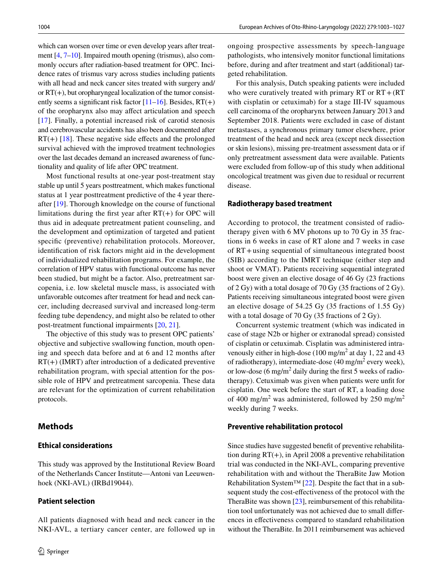which can worsen over time or even develop years after treatment [\[4,](#page-24-4) [7](#page-24-5)[–10](#page-24-6)]. Impaired mouth opening (trismus), also commonly occurs after radiation-based treatment for OPC. Incidence rates of trismus vary across studies including patients with all head and neck cancer sites treated with surgery and/ or RT(+), but oropharyngeal localization of the tumor consistently seems a significant risk factor  $[11–16]$  $[11–16]$ . Besides,  $RT(+)$ of the oropharynx also may afect articulation and speech [\[17\]](#page-24-9). Finally, a potential increased risk of carotid stenosis and cerebrovascular accidents has also been documented after  $RT(+)$  [[18\]](#page-24-10). These negative side effects and the prolonged survival achieved with the improved treatment technologies over the last decades demand an increased awareness of functionality and quality of life after OPC treatment.

Most functional results at one-year post-treatment stay stable up until 5 years posttreatment, which makes functional status at 1 year posttreatment predictive of the 4 year thereafter [\[19](#page-24-11)]. Thorough knowledge on the course of functional limitations during the first year after  $RT(+)$  for OPC will thus aid in adequate pretreatment patient counseling, and the development and optimization of targeted and patient specifc (preventive) rehabilitation protocols. Moreover, identifcation of risk factors might aid in the development of individualized rehabilitation programs. For example, the correlation of HPV status with functional outcome has never been studied, but might be a factor. Also, pretreatment sarcopenia, i.e. low skeletal muscle mass, is associated with unfavorable outcomes after treatment for head and neck cancer, including decreased survival and increased long-term feeding tube dependency, and might also be related to other post-treatment functional impairments [[20,](#page-24-12) [21](#page-24-13)].

The objective of this study was to present OPC patients' objective and subjective swallowing function, mouth opening and speech data before and at 6 and 12 months after  $RT(+)$  (IMRT) after introduction of a dedicated preventive rehabilitation program, with special attention for the possible role of HPV and pretreatment sarcopenia. These data are relevant for the optimization of current rehabilitation protocols.

# **Methods**

### **Ethical considerations**

This study was approved by the Institutional Review Board of the Netherlands Cancer Institute—Antoni van Leeuwenhoek (NKI-AVL) (IRBd19044).

#### **Patient selection**

All patients diagnosed with head and neck cancer in the NKI-AVL, a tertiary cancer center, are followed up in ongoing prospective assessments by speech-language pathologists, who intensively monitor functional limitations before, during and after treatment and start (additional) targeted rehabilitation.

For this analysis, Dutch speaking patients were included who were curatively treated with primary RT or  $RT + (RT)$ with cisplatin or cetuximab) for a stage III-IV squamous cell carcinoma of the oropharynx between January 2013 and September 2018. Patients were excluded in case of distant metastases, a synchronous primary tumor elsewhere, prior treatment of the head and neck area (except neck dissection or skin lesions), missing pre-treatment assessment data or if only pretreatment assessment data were available. Patients were excluded from follow-up of this study when additional oncological treatment was given due to residual or recurrent disease.

#### **Radiotherapy based treatment**

According to protocol, the treatment consisted of radiotherapy given with 6 MV photons up to 70 Gy in 35 fractions in 6 weeks in case of RT alone and 7 weeks in case of RT+using sequential of simultaneous integrated boost (SIB) according to the IMRT technique (either step and shoot or VMAT). Patients receiving sequential integrated boost were given an elective dosage of 46 Gy (23 fractions of 2 Gy) with a total dosage of 70 Gy (35 fractions of 2 Gy). Patients receiving simultaneous integrated boost were given an elective dosage of 54.25 Gy (35 fractions of 1.55 Gy) with a total dosage of 70 Gy (35 fractions of 2 Gy).

Concurrent systemic treatment (which was indicated in case of stage N2b or higher or extranodal spread) consisted of cisplatin or cetuximab. Cisplatin was administered intravenously either in high-dose  $(100 \text{ mg/m}^2 \text{ at day } 1, 22 \text{ and } 43)$ of radiotherapy), intermediate-dose (40 mg/m<sup>2</sup> every week), or low-dose (6 mg/m<sup>2</sup> daily during the first 5 weeks of radiotherapy). Cetuximab was given when patients were unft for cisplatin. One week before the start of RT, a loading dose of 400 mg/m<sup>2</sup> was administered, followed by 250 mg/m<sup>2</sup> weekly during 7 weeks.

#### **Preventive rehabilitation protocol**

Since studies have suggested beneft of preventive rehabilitation during  $RT(+)$ , in April 2008 a preventive rehabilitation trial was conducted in the NKI-AVL, comparing preventive rehabilitation with and without the TheraBite Jaw Motion Rehabilitation System™  $[22]$  $[22]$ . Despite the fact that in a subsequent study the cost-efectiveness of the protocol with the TheraBite was shown [[23\]](#page-24-15), reimbursement of this rehabilitation tool unfortunately was not achieved due to small diferences in efectiveness compared to standard rehabilitation without the TheraBite. In 2011 reimbursement was achieved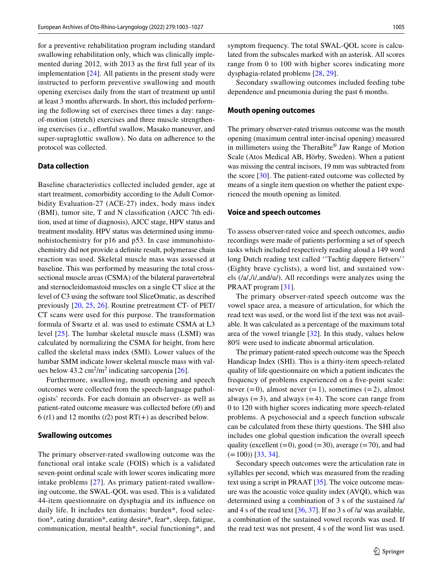for a preventive rehabilitation program including standard swallowing rehabilitation only, which was clinically implemented during 2012, with 2013 as the frst full year of its implementation [\[24\]](#page-24-16). All patients in the present study were instructed to perform preventive swallowing and mouth opening exercises daily from the start of treatment up until at least 3 months afterwards. In short, this included performing the following set of exercises three times a day: rangeof-motion (stretch) exercises and three muscle strengthening exercises (i.e., effortful swallow, Masako maneuver, and super-supraglottic swallow). No data on adherence to the protocol was collected.

# **Data collection**

Baseline characteristics collected included gender, age at start treatment, comorbidity according to the Adult Comorbidity Evaluation-27 (ACE-27) index, body mass index (BMI), tumor site, T and N classifcation (AJCC 7th edition, used at time of diagnosis), AJCC stage, HPV status and treatment modality. HPV status was determined using immunohistochemistry for p16 and p53. In case immunohistochemistry did not provide a defnite result, polymerase chain reaction was used. Skeletal muscle mass was assessed at baseline. This was performed by measuring the total crosssectional muscle areas (CSMA) of the bilateral paravertebral and sternocleidomastoid muscles on a single CT slice at the level of C3 using the software tool SliceOmatic, as described previously [[20,](#page-24-12) [25](#page-24-17), [26\]](#page-24-18). Routine pretreatment CT- of PET/ CT scans were used for this purpose. The transformation formula of Swartz et al. was used to estimate CSMA at L3 level [\[25\]](#page-24-17). The lumbar skeletal muscle mass (LSMI) was calculated by normalizing the CSMA for height, from here called the skeletal mass index (SMI). Lower values of the lumbar SMM indicate lower skeletal muscle mass with values below  $43.2 \text{ cm}^2/\text{m}^2$  indicating sarcopenia [\[26](#page-24-18)].

Furthermore, swallowing, mouth opening and speech outcomes were collected from the speech-language pathologists' records. For each domain an observer- as well as patient-rated outcome measure was collected before (*t*0) and  $6(t1)$  and 12 months ( $t2$ ) post RT(+) as described below.

#### **Swallowing outcomes**

The primary observer-rated swallowing outcome was the functional oral intake scale (FOIS) which is a validated seven-point ordinal scale with lower scores indicating more intake problems [[27](#page-24-19)]. As primary patient-rated swallowing outcome, the SWAL-QOL was used. This is a validated 44-item questionnaire on dysphagia and its infuence on daily life. It includes ten domains: burden\*, food selection\*, eating duration\*, eating desire\*, fear\*, sleep, fatigue, communication, mental health\*, social functioning\*, and symptom frequency. The total SWAL-QOL score is calculated from the subscales marked with an asterisk. All scores range from 0 to 100 with higher scores indicating more dysphagia-related problems [[28,](#page-25-0) [29\]](#page-25-1).

Secondary swallowing outcomes included feeding tube dependence and pneumonia during the past 6 months.

#### **Mouth opening outcomes**

The primary observer-rated trismus outcome was the mouth opening (maximum central inter-incisal opening) measured in millimeters using the TheraBite® Jaw Range of Motion Scale (Atos Medical AB, Hörby, Sweden). When a patient was missing the central incisors, 19 mm was subtracted from the score [[30\]](#page-25-2). The patient-rated outcome was collected by means of a single item question on whether the patient experienced the mouth opening as limited.

#### **Voice and speech outcomes**

To assess observer-rated voice and speech outcomes, audio recordings were made of patients performing a set of speech tasks which included respectively reading aloud a 149 word long Dutch reading text called ''Tachtig dappere fetsers'' (Eighty brave cyclists), a word list, and sustained vowels (/a/,/i/,and/u/). All recordings were analyzes using the PRAAT program [\[31](#page-25-3)].

The primary observer-rated speech outcome was the vowel space area, a measure of articulation, for which the read text was used, or the word list if the text was not available. It was calculated as a percentage of the maximum total area of the vowel triangle [[32\]](#page-25-4). In this study, values below 80% were used to indicate abnormal articulation.

The primary patient-rated speech outcome was the Speech Handicap Index (SHI). This is a thirty-item speech-related quality of life questionnaire on which a patient indicates the frequency of problems experienced on a fve-point scale: never  $(=0)$ , almost never  $(=1)$ , sometimes  $(=2)$ , almost always  $(=3)$ , and always  $(=4)$ . The score can range from 0 to 120 with higher scores indicating more speech-related problems. A psychosocial and a speech function subscale can be calculated from these thirty questions. The SHI also includes one global question indication the overall speech quality (excellent  $(=0)$ , good  $(=30)$ , average  $(=70)$ , and bad  $(=100)$  [\[33,](#page-25-5) [34\]](#page-25-6).

Secondary speech outcomes were the articulation rate in syllables per second, which was measured from the reading text using a script in PRAAT [\[35](#page-25-7)]. The voice outcome measure was the acoustic voice quality index (AVQI), which was determined using a combination of 3 s of the sustained /a/ and 4 s of the read text [\[36](#page-25-8), [37\]](#page-25-9). If no 3 s of /a/ was available, a combination of the sustained vowel records was used. If the read text was not present, 4 s of the word list was used.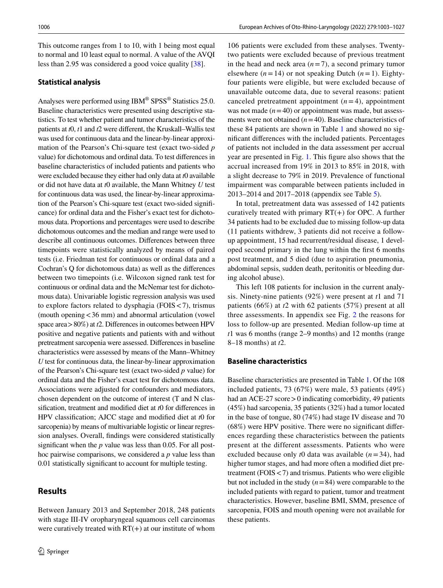This outcome ranges from 1 to 10, with 1 being most equal to normal and 10 least equal to normal. A value of the AVQI less than 2.95 was considered a good voice quality [\[38](#page-25-10)].

### **Statistical analysis**

Analyses were performed using IBM® SPSS® Statistics 25.0. Baseline characteristics were presented using descriptive statistics. To test whether patient and tumor characteristics of the patients at *t*0, *t*1 and *t*2 were diferent, the Kruskall–Wallis test was used for continuous data and the linear-by-linear approximation of the Pearson's Chi-square test (exact two-sided *p*  value) for dichotomous and ordinal data. To test diferences in baseline characteristics of included patients and patients who were excluded because they either had only data at *t*0 available or did not have data at *t*0 available, the Mann Whitney *U* test for continuous data was used, the linear-by-linear approximation of the Pearson's Chi-square test (exact two-sided signifcance) for ordinal data and the Fisher's exact test for dichotomous data. Proportions and percentages were used to describe dichotomous outcomes and the median and range were used to describe all continuous outcomes. Diferences between three timepoints were statistically analyzed by means of paired tests (i.e. Friedman test for continuous or ordinal data and a Cochran's Q for dichotomous data) as well as the diferences between two timepoints (i.e. Wilcoxon signed rank test for continuous or ordinal data and the McNemar test for dichotomous data). Univariable logistic regression analysis was used to explore factors related to dysphagia (FOIS<7), trismus (mouth opening<36 mm) and abnormal articulation (vowel space area>80%) at *t*2. Diferences in outcomes between HPV positive and negative patients and patients with and without pretreatment sarcopenia were assessed. Diferences in baseline characteristics were assessed by means of the Mann–Whitney *U* test for continuous data, the linear-by-linear approximation of the Pearson's Chi-square test (exact two-sided *p* value) for ordinal data and the Fisher's exact test for dichotomous data. Associations were adjusted for confounders and mediators, chosen dependent on the outcome of interest (T and N classifcation, treatment and modifed diet at *t*0 for diferences in HPV classifcation; AJCC stage and modifed diet at *t*0 for sarcopenia) by means of multivariable logistic or linear regression analyses. Overall, fndings were considered statistically signifcant when the *p* value was less than 0.05. For all posthoc pairwise comparisons, we considered a *p* value less than 0.01 statistically signifcant to account for multiple testing.

# **Results**

Between January 2013 and September 2018, 248 patients with stage III-IV oropharyngeal squamous cell carcinomas were curatively treated with  $RT(+)$  at our institute of whom

106 patients were excluded from these analyses. Twentytwo patients were excluded because of previous treatment in the head and neck area  $(n=7)$ , a second primary tumor elsewhere  $(n=14)$  or not speaking Dutch  $(n=1)$ . Eightyfour patients were eligible, but were excluded because of unavailable outcome data, due to several reasons: patient canceled pretreatment appointment  $(n=4)$ , appointment was not made  $(n=40)$  or appointment was made, but assessments were not obtained (*n*=40). Baseline characteristics of these 84 patients are shown in Table [1](#page-5-0) and showed no signifcant diferences with the included patients. Percentages of patients not included in the data assessment per accrual year are presented in Fig. [1](#page-6-0). This fgure also shows that the accrual increased from 19% in 2013 to 85% in 2018, with a slight decrease to 79% in 2019. Prevalence of functional impairment was comparable between patients included in 2013–2014 and 2017–2018 (appendix see Table [5](#page-13-0)).

In total, pretreatment data was assessed of 142 patients curatively treated with primary  $RT(+)$  for OPC. A further 34 patients had to be excluded due to missing follow-up data (11 patients withdrew, 3 patients did not receive a followup appointment, 15 had recurrent/residual disease, 1 developed second primary in the lung within the frst 6 months post treatment, and 5 died (due to aspiration pneumonia, abdominal sepsis, sudden death, peritonitis or bleeding during alcohol abuse).

This left 108 patients for inclusion in the current analysis. Ninety-nine patients (92%) were present at *t*1 and 71 patients (66%) at *t*2 with 62 patients (57%) present at all three assessments. In appendix see Fig. [2](#page-7-0) the reasons for loss to follow-up are presented. Median follow-up time at *t*1 was 6 months (range 2–9 months) and 12 months (range 8–18 months) at *t*2.

### **Baseline characteristics**

Baseline characteristics are presented in Table [1](#page-5-0). Of the 108 included patients, 73 (67%) were male, 53 patients (49%) had an ACE-27 score > 0 indicating comorbidity, 49 patients (45%) had sarcopenia, 35 patients (32%) had a tumor located in the base of tongue, 80 (74%) had stage IV disease and 70 (68%) were HPV positive. There were no signifcant diferences regarding these characteristics between the patients present at the different assessments. Patients who were excluded because only *t*0 data was available (*n*=34), had higher tumor stages, and had more often a modifed diet pretreatment (FOIS  $<$  7) and trismus. Patients who were eligible but not included in the study (*n*=84) were comparable to the included patients with regard to patient, tumor and treatment characteristics. However, baseline BMI, SMM, presence of sarcopenia, FOIS and mouth opening were not available for these patients.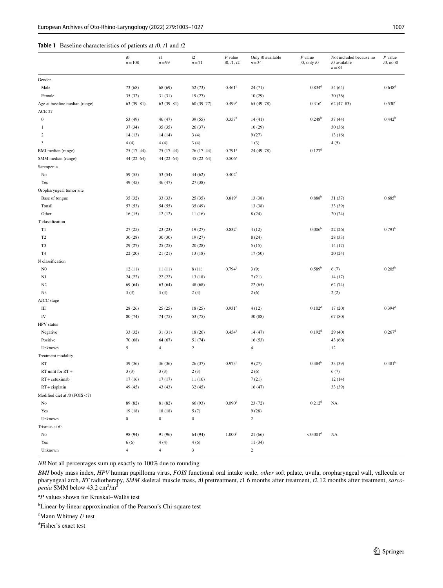## <span id="page-5-0"></span>**Table 1** Baseline characteristics of patients at *t*0, *t*1 and *t*2

|                                | $t0$<br>$n = 108$ | $t\mathbf{1}$<br>$n = 99$ | $t\mathbf{2}$<br>$n = 71$ | $P$ value<br>t0, t1, t2 | Only t0 available<br>$n = 34$ | $P$ value<br>$t0$ , only $t0$ | Not included because no<br>t0 available<br>$n = 84$ | $P$ value<br>$t0$ , no $t0$ |
|--------------------------------|-------------------|---------------------------|---------------------------|-------------------------|-------------------------------|-------------------------------|-----------------------------------------------------|-----------------------------|
| Gender                         |                   |                           |                           |                         |                               |                               |                                                     |                             |
| Male                           | 73 (68)           | 68 (69)                   | 52(73)                    | 0.461 <sup>b</sup>      | 24(71)                        | $0.834^d$                     | 54 (64)                                             | 0.648 <sup>d</sup>          |
| Female                         | 35 (32)           | 31(31)                    | 19(27)                    |                         | 10(29)                        |                               | 30(36)                                              |                             |
| Age at baseline median (range) | $63(39-81)$       | $63(39-81)$               | $60(39 - 77)$             | $0.499$ <sup>a</sup>    | $65(49-78)$                   | 0.316 <sup>c</sup>            | $62(47-83)$                                         | 0.530c                      |
| $ACE-27$                       |                   |                           |                           |                         |                               |                               |                                                     |                             |
| $\boldsymbol{0}$               | 53 (49)           | 46 (47)                   | 39(55)                    | $0.357^b$               | 14(41)                        | 0.248 <sup>b</sup>            | 37(44)                                              | 0.442 <sup>b</sup>          |
| 1                              | 37(34)            | 35(35)                    | 26(37)                    |                         | 10(29)                        |                               | 30(36)                                              |                             |
| 2                              | 14(13)            | 14(14)                    | 3(4)                      |                         | 9(27)                         |                               | 13(16)                                              |                             |
| 3                              | 4(4)              | 4(4)                      | 3(4)                      |                         | 1(3)                          |                               | 4(5)                                                |                             |
| BMI median (range)             | $25(17-44)$       | $25(17-44)$               | $26(17-44)$               | $0.791$ <sup>a</sup>    | 24 (49-78)                    | 0.127 <sup>d</sup>            |                                                     |                             |
| SMM median (range)             | $44(22 - 64)$     | $44(22 - 64)$             | $45(22 - 64)$             | 0.506 <sup>a</sup>      |                               |                               |                                                     |                             |
| Sarcopenia                     |                   |                           |                           |                         |                               |                               |                                                     |                             |
| No                             | 59 (55)           | 53 (54)                   | 44 (62)                   | 0.402 <sup>b</sup>      |                               |                               |                                                     |                             |
| Yes                            | 49 (45)           | 46 (47)                   | 27 (38)                   |                         |                               |                               |                                                     |                             |
| Oropharyngeal tumor site       |                   |                           |                           |                         |                               |                               |                                                     |                             |
| Base of tongue                 | 35(32)            | 33(33)                    | 25(35)                    | 0.819 <sup>b</sup>      | 13(38)                        | 0.888 <sup>b</sup>            | 31(37)                                              | $0.685^{b}$                 |
| Tonsil                         | 57 (53)           | 54 (55)                   | 35(49)                    |                         | 13(38)                        |                               | 33 (39)                                             |                             |
| Other                          | 16(15)            | 12(12)                    | 11(16)                    |                         | 8(24)                         |                               | 20(24)                                              |                             |
| T classification               |                   |                           |                           |                         |                               |                               |                                                     |                             |
| T1                             | 27(25)            | 23(23)                    | 19(27)                    | $0.832^{b}$             | 4(12)                         | 0.006 <sup>b</sup>            | 22(26)                                              | 0.791 <sup>b</sup>          |
| T <sub>2</sub>                 | 30(28)            | 30(30)                    | 19(27)                    |                         | 8(24)                         |                               | 28(33)                                              |                             |
| T3                             | 29 (27)           | 25(25)                    | 20(28)                    |                         | 5(15)                         |                               | 14(17)                                              |                             |
| T <sub>4</sub>                 | 22(20)            | 21(21)                    | 13(18)                    |                         | 17(50)                        |                               | 20(24)                                              |                             |
| N classification               |                   |                           |                           |                         |                               |                               |                                                     |                             |
| N <sub>0</sub>                 | 12(11)            | 11(11)                    | 8(11)                     | 0.794 <sup>b</sup>      | 3(9)                          | 0.589 <sup>b</sup>            | 6(7)                                                | $0.205^{\rm b}$             |
| N1                             | 24(22)            | 22(22)                    | 13(18)                    |                         | 7(21)                         |                               | 14(17)                                              |                             |
| N2                             | 69 (64)           | 63(64)                    | 48 (68)                   |                         | 22(65)                        |                               | 62(74)                                              |                             |
| N3                             | 3(3)              | 3(3)                      | 2(3)                      |                         | 2(6)                          |                               | 2(2)                                                |                             |
| AJCC stage                     |                   |                           |                           |                         |                               |                               |                                                     |                             |
| Ш                              | 28 (26)           | 25(25)                    | 18(25)                    | 0.931 <sup>b</sup>      | 4(12)                         | 0.102 <sup>d</sup>            | 17(20)                                              | 0.394 <sup>d</sup>          |
| IV                             | 80 (74)           | 74 (75)                   | 53 (75)                   |                         | 30(88)                        |                               | 67 (80)                                             |                             |
| HPV status                     |                   |                           |                           |                         |                               |                               |                                                     |                             |
| Negative                       | 33(32)            | 31(31)                    | 18(26)                    | $0.454^{\rm b}$         | 14 (47)                       | 0.192 <sup>d</sup>            | 29 (40)                                             | $0.267$ <sup>d</sup>        |
| Positive                       | 70 (68)           | 64 (67)                   | 51 (74)                   |                         | 16(53)                        |                               | 43 (60)                                             |                             |
| Unknown                        | 5                 | $\overline{4}$            | $\overline{c}$            |                         | $\overline{4}$                |                               | 12                                                  |                             |
| Treatment modality             |                   |                           |                           |                         |                               |                               |                                                     |                             |
| RT                             | 39(36)            | 36(36)                    | 26(37)                    | $0.973^{\rm b}$         | 9(27)                         | 0.384 <sup>b</sup>            | 33 (39)                                             | 0.481 <sup>b</sup>          |
| RT unfit for RT+               | 3(3)              | 3(3)                      | 2(3)                      |                         | 2(6)                          |                               | 6(7)                                                |                             |
| $RT +$ cetuximab               | 17(16)            | 17(17)                    | 11(16)                    |                         | 7(21)                         |                               | 12(14)                                              |                             |
| $RT + c$ isplatin              | 49 (45)           | 43 (43)                   | 32(45)                    |                         | 16(47)                        |                               | 33 (39)                                             |                             |
| Modified diet at t0 (FOIS <7)  |                   |                           |                           |                         |                               |                               |                                                     |                             |
| No                             | 89 (82)           | 81 (82)                   | 66 (93)                   | 0.090 <sup>b</sup>      | 23(72)                        | 0.212 <sup>d</sup>            | NA                                                  |                             |
| Yes                            | 19(18)            | 18(18)                    | 5(7)                      |                         | 9(28)                         |                               |                                                     |                             |
| Unknown                        | $\boldsymbol{0}$  | $\boldsymbol{0}$          | $\boldsymbol{0}$          |                         | $\overline{c}$                |                               |                                                     |                             |
| Trismus at t0                  |                   |                           |                           |                         |                               |                               |                                                     |                             |
| No                             | 98 (94)           | 91 (96)                   | 64 (94)                   | 1.000 <sup>b</sup>      | 21(66)                        | $< 0.001$ <sup>d</sup>        | NA                                                  |                             |
| Yes                            | 6(6)              | 4(4)                      | 4(6)                      |                         | 11(34)                        |                               |                                                     |                             |
| Unknown                        | $\overline{4}$    | $\overline{4}$            | 3                         |                         | $\sqrt{2}$                    |                               |                                                     |                             |

*NB* Not all percentages sum up exactly to 100% due to rounding

*BMI* body mass index, *HPV* human papilloma virus, *FOIS* functional oral intake scale, *other* soft palate, uvula, oropharyngeal wall, vallecula or pharyngeal arch, *RT* radiotherapy, *SMM* skeletal muscle mass, *t*0 pretreatment, *t*1 6 months after treatment, *t*2 12 months after treatment, *sarcopenia* SMM below 43.2 cm<sup>2</sup>/m<sup>2</sup>

a *P* values shown for Kruskal–Wallis test

b Linear-by-linear approximation of the Pearson's Chi-square test

c Mann Whitney *U* test

d Fisher's exact test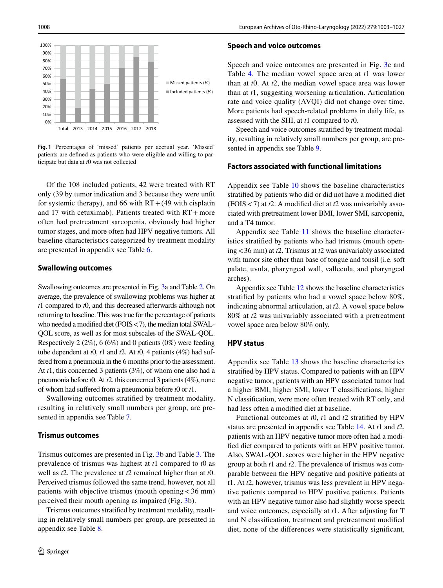

<span id="page-6-0"></span>**Fig. 1** Percentages of 'missed' patients per accrual year. 'Missed' patients are defned as patients who were eligible and willing to participate but data at *t*0 was not collected

Of the 108 included patients, 42 were treated with RT only (39 by tumor indication and 3 because they were unft for systemic therapy), and 66 with  $RT + (49$  with cisplatin and 17 with cetuximab). Patients treated with  $RT + more$ often had pretreatment sarcopenia, obviously had higher tumor stages, and more often had HPV negative tumors. All baseline characteristics categorized by treatment modality are presented in appendix see Table [6](#page-14-0).

#### **Swallowing outcomes**

Swallowing outcomes are presented in Fig. [3a](#page-8-0) and Table [2.](#page-9-0) On average, the prevalence of swallowing problems was higher at *t*1 compared to *t*0, and this decreased afterwards although not returning to baseline. This was true for the percentage of patients who needed a modified diet (FOIS < 7), the median total SWAL-QOL score, as well as for most subscales of the SWAL-QOL. Respectively 2 (2%), 6 (6%) and 0 patients (0%) were feeding tube dependent at *t*0, *t*1 and *t*2. At *t*0, 4 patients (4%) had suffered from a pneumonia in the 6 months prior to the assessment. At *t*1, this concerned 3 patients (3%), of whom one also had a pneumonia before *t*0. At *t*2, this concerned 3 patients (4%), none of whom had sufered from a pneumonia before *t*0 or *t*1.

Swallowing outcomes stratifed by treatment modality, resulting in relatively small numbers per group, are presented in appendix see Table [7.](#page-15-0)

#### **Trismus outcomes**

Trismus outcomes are presented in Fig. [3](#page-8-0)b and Table [3.](#page-10-0) The prevalence of trismus was highest at *t*1 compared to *t*0 as well as *t*2. The prevalence at *t*2 remained higher than at *t*0. Perceived trismus followed the same trend, however, not all patients with objective trismus (mouth opening  $<$  36 mm) perceived their mouth opening as impaired (Fig. [3b](#page-8-0)).

Trismus outcomes stratifed by treatment modality, resulting in relatively small numbers per group, are presented in appendix see Table [8.](#page-16-0)

#### **Speech and voice outcomes**

Speech and voice outcomes are presented in Fig. [3c](#page-8-0) and Table [4.](#page-11-0) The median vowel space area at *t*1 was lower than at *t*0. At *t*2, the median vowel space area was lower than at *t*1, suggesting worsening articulation. Articulation rate and voice quality (AVQI) did not change over time. More patients had speech-related problems in daily life, as assessed with the SHI, at *t*1 compared to *t*0.

Speech and voice outcomes stratifed by treatment modality, resulting in relatively small numbers per group, are presented in appendix see Table [9.](#page-16-1)

#### **Factors associated with functional limitations**

Appendix see Table [10](#page-17-0) shows the baseline characteristics stratifed by patients who did or did not have a modifed diet (FOIS<7) at *t*2. A modifed diet at *t*2 was univariably associated with pretreatment lower BMI, lower SMI, sarcopenia, and a T4 tumor.

Appendix see Table [11](#page-18-0) shows the baseline characteristics stratifed by patients who had trismus (mouth opening<36 mm) at *t*2. Trismus at *t*2 was univariably associated with tumor site other than base of tongue and tonsil (i.e. soft palate, uvula, pharyngeal wall, vallecula, and pharyngeal arches).

Appendix see Table [12](#page-19-0) shows the baseline characteristics stratifed by patients who had a vowel space below 80%, indicating abnormal articulation, at *t*2. A vowel space below 80% at *t*2 was univariably associated with a pretreatment vowel space area below 80% only.

#### **HPV status**

Appendix see Table [13](#page-20-0) shows the baseline characteristics stratifed by HPV status. Compared to patients with an HPV negative tumor, patients with an HPV associated tumor had a higher BMI, higher SMI, lower T classifcations, higher N classifcation, were more often treated with RT only, and had less often a modifed diet at baseline.

Functional outcomes at *t*0, *t*1 and *t*2 stratifed by HPV status are presented in appendix see Table [14.](#page-21-0) At *t*1 and *t*2, patients with an HPV negative tumor more often had a modifed diet compared to patients with an HPV positive tumor. Also, SWAL-QOL scores were higher in the HPV negative group at both *t*1 and *t*2. The prevalence of trismus was comparable between the HPV negative and positive patients at t1. At *t*2, however, trismus was less prevalent in HPV negative patients compared to HPV positive patients. Patients with an HPV negative tumor also had slightly worse speech and voice outcomes, especially at *t*1. After adjusting for T and N classifcation, treatment and pretreatment modifed diet, none of the diferences were statistically signifcant,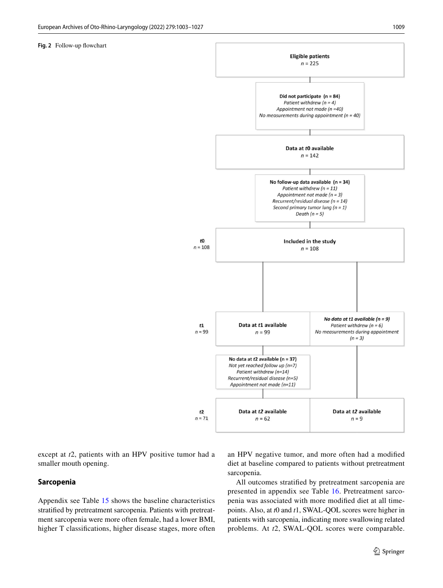#### <span id="page-7-0"></span>**Fig. 2** Follow-up fowchart



except at *t*2, patients with an HPV positive tumor had a smaller mouth opening.

## **Sarcopenia**

Appendix see Table [15](#page-22-0) shows the baseline characteristics stratifed by pretreatment sarcopenia. Patients with pretreatment sarcopenia were more often female, had a lower BMI, higher T classifcations, higher disease stages, more often an HPV negative tumor, and more often had a modifed diet at baseline compared to patients without pretreatment sarcopenia.

All outcomes stratifed by pretreatment sarcopenia are presented in appendix see Table [16](#page-23-0). Pretreatment sarcopenia was associated with more modifed diet at all timepoints. Also, at *t*0 and *t*1, SWAL-QOL scores were higher in patients with sarcopenia, indicating more swallowing related problems. At *t*2, SWAL-QOL scores were comparable.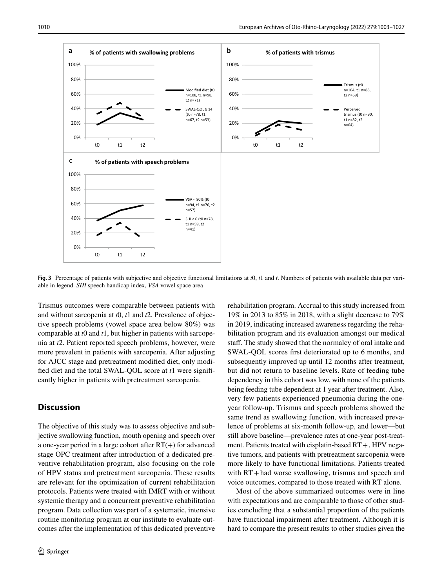

<span id="page-8-0"></span>**Fig. 3** Percentage of patients with subjective and objective functional limitations at *t*0, *t*1 and *t*. Numbers of patients with available data per variable in legend. *SHI* speech handicap index, *VSA* vowel space area

Trismus outcomes were comparable between patients with and without sarcopenia at *t*0, *t*1 and *t*2. Prevalence of objective speech problems (vowel space area below 80%) was comparable at *t*0 and *t*1, but higher in patients with sarcopenia at *t*2. Patient reported speech problems, however, were more prevalent in patients with sarcopenia. After adjusting for AJCC stage and pretreatment modifed diet, only modifed diet and the total SWAL-QOL score at *t*1 were signifcantly higher in patients with pretreatment sarcopenia.

# **Discussion**

The objective of this study was to assess objective and subjective swallowing function, mouth opening and speech over a one-year period in a large cohort after  $RT(+)$  for advanced stage OPC treatment after introduction of a dedicated preventive rehabilitation program, also focusing on the role of HPV status and pretreatment sarcopenia. These results are relevant for the optimization of current rehabilitation protocols. Patients were treated with IMRT with or without systemic therapy and a concurrent preventive rehabilitation program. Data collection was part of a systematic, intensive routine monitoring program at our institute to evaluate outcomes after the implementation of this dedicated preventive rehabilitation program. Accrual to this study increased from 19% in 2013 to 85% in 2018, with a slight decrease to 79% in 2019, indicating increased awareness regarding the rehabilitation program and its evaluation amongst our medical staff. The study showed that the normalcy of oral intake and SWAL-QOL scores frst deteriorated up to 6 months, and subsequently improved up until 12 months after treatment, but did not return to baseline levels. Rate of feeding tube dependency in this cohort was low, with none of the patients being feeding tube dependent at 1 year after treatment. Also, very few patients experienced pneumonia during the oneyear follow-up. Trismus and speech problems showed the same trend as swallowing function, with increased prevalence of problems at six-month follow-up, and lower—but still above baseline—prevalence rates at one-year post-treatment. Patients treated with cisplatin-based RT+, HPV negative tumors, and patients with pretreatment sarcopenia were more likely to have functional limitations. Patients treated with  $RT +$ had worse swallowing, trismus and speech and voice outcomes, compared to those treated with RT alone.

Most of the above summarized outcomes were in line with expectations and are comparable to those of other studies concluding that a substantial proportion of the patients have functional impairment after treatment. Although it is hard to compare the present results to other studies given the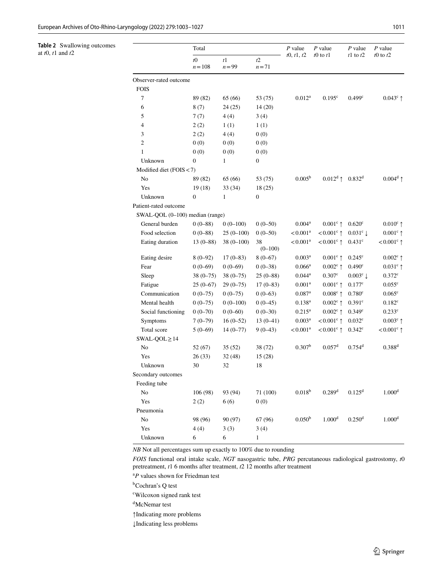<span id="page-9-0"></span>

| Table 2 Swallowing outcomes<br>at $t0$ , $t1$ and $t2$ |                                       | Total             |                |                 | $P$ value              | $P$ value                | $P$ value            | $P$ value                |  |  |  |  |
|--------------------------------------------------------|---------------------------------------|-------------------|----------------|-----------------|------------------------|--------------------------|----------------------|--------------------------|--|--|--|--|
|                                                        |                                       | $t0$<br>$n = 108$ | t1<br>$n = 99$ | t2<br>$n = 71$  | t0, t1, t2             | $t0$ to $t1$             | $t1$ to $t2$         | $t0$ to $t2$             |  |  |  |  |
|                                                        | Observer-rated outcome<br><b>FOIS</b> |                   |                |                 |                        |                          |                      |                          |  |  |  |  |
|                                                        | $\tau$                                | 89 (82)           | 65 (66)        | 53 (75)         | $0.012^a$              | $0.195^{\circ}$          | 0.499 <sup>c</sup>   | $0.043^c$ ↑              |  |  |  |  |
|                                                        | 6                                     | 8(7)              | 24(25)         | 14(20)          |                        |                          |                      |                          |  |  |  |  |
|                                                        | 5                                     | 7(7)              | 4(4)           | 3(4)            |                        |                          |                      |                          |  |  |  |  |
|                                                        | 4                                     | 2(2)              | 1(1)           | 1(1)            |                        |                          |                      |                          |  |  |  |  |
|                                                        | 3                                     | 2(2)              | 4(4)           | 0(0)            |                        |                          |                      |                          |  |  |  |  |
|                                                        | $\boldsymbol{2}$                      | 0(0)              | 0(0)           | 0(0)            |                        |                          |                      |                          |  |  |  |  |
|                                                        | $\mathbf{1}$                          | 0(0)              | 0(0)           | 0(0)            |                        |                          |                      |                          |  |  |  |  |
|                                                        | Unknown                               | $\boldsymbol{0}$  | $\mathbf{1}$   | $\mathbf{0}$    |                        |                          |                      |                          |  |  |  |  |
|                                                        | Modified diet (FOIS < 7)              |                   |                |                 |                        |                          |                      |                          |  |  |  |  |
|                                                        | No                                    | 89 (82)           | 65 (66)        | 53 (75)         | $0.005^{b}$            | $0.012^d$ ↑              | 0.832 <sup>d</sup>   | $0.004^d$ 1              |  |  |  |  |
|                                                        | Yes                                   | 19(18)            | 33 (34)        | 18(25)          |                        |                          |                      |                          |  |  |  |  |
|                                                        | Unknown                               | $\boldsymbol{0}$  | $\mathbf{1}$   | $\mathbf{0}$    |                        |                          |                      |                          |  |  |  |  |
|                                                        | Patient-rated outcome                 |                   |                |                 |                        |                          |                      |                          |  |  |  |  |
|                                                        | SWAL-QOL (0-100) median (range)       |                   |                |                 |                        |                          |                      |                          |  |  |  |  |
|                                                        | General burden                        | $0(0-88)$         | $0(0-100)$     | $0(0-50)$       | 0.004 <sup>a</sup>     | $0.001^c$ ↑              | 0.620 <sup>c</sup>   | $0.010^c$ ↑              |  |  |  |  |
|                                                        | Food selection                        | $0(0-88)$         | $25(0-100)$    | $0(0-50)$       | $< 0.001$ <sup>a</sup> | $< 0.001^{\circ}$ ↑      | $0.031^{\circ}$      | $0.001^c$ ↑              |  |  |  |  |
|                                                        | Eating duration                       | $13(0-88)$        | $38(0-100)$    | 38<br>$(0-100)$ | < 0.001 <sup>a</sup>   | $< 0.001$ <sup>c</sup> ↑ | $0.431$ <sup>c</sup> | $< 0.001$ <sup>c</sup> 1 |  |  |  |  |
|                                                        | Eating desire                         | $8(0-92)$         | $17(0-83)$     | $8(0-67)$       | 0.003 <sup>a</sup>     | $0.001^c$ ↑              | $0.245^{\circ}$      | $0.002^c$ 1              |  |  |  |  |
|                                                        | Fear                                  | $0(0-69)$         | $0(0-69)$      | $0(0-38)$       | $0.066^{\rm a}$        | $0.002^c$ ↑              | 0.490 <sup>c</sup>   | $0.031^{\circ}$ ↑        |  |  |  |  |
|                                                        | Sleep                                 | $38(0 - 75)$      | $38(0 - 75)$   | $25(0-88)$      | $0.044^{\rm a}$        | $0.307$ c                | $0.003^c \downarrow$ | $0.372^{\rm c}$          |  |  |  |  |
|                                                        | Fatigue                               | $25(0-67)$        | $29(0-75)$     | $17(0-83)$      | 0.001 <sup>a</sup>     | $0.001^c$ ↑              | 0.177c               | 0.055c                   |  |  |  |  |
|                                                        | Communication                         | $0(0-75)$         | $0(0-75)$      | $0(0-63)$       | $0.087$ <sup>a</sup>   | $0.008^c$ ↑              | 0.780 <sup>c</sup>   | $0.065^{\circ}$          |  |  |  |  |
|                                                        | Mental health                         | $0(0-75)$         | $0(0-100)$     | $0(0-45)$       | $0.138^{a}$            | $0.002^c$ ↑              | 0.391 <sup>c</sup>   | $0.182^{\circ}$          |  |  |  |  |
|                                                        | Social functioning                    | $0(0-70)$         | $0(0-60)$      | $0(0-30)$       | $0.215^{a}$            | $0.002^c$ ↑              | 0.349c               | 0.233c                   |  |  |  |  |
|                                                        | Symptoms                              | $7(0-79)$         | $16(0-52)$     | $13(0-41)$      | $0.003^{\rm a}$        | $< 0.001$ <sup>c</sup> 1 | 0.032 <sup>c</sup>   | $0.003^c$ ↑              |  |  |  |  |
|                                                        | Total score                           | $5(0-69)$         | $14(0-77)$     | $9(0-43)$       | $< 0.001^a$            | $< 0.001$ <sup>c</sup> 1 | $0.342^{\circ}$      | $< 0.001$ <sup>c</sup> ↑ |  |  |  |  |
|                                                        | $SWAL-QOL \geq 14$                    |                   |                |                 |                        |                          |                      |                          |  |  |  |  |
|                                                        | $\rm No$                              | 52(67)            | 35(52)         | 38 (72)         | 0.307 <sup>b</sup>     | 0.057 <sup>d</sup>       | 0.754 <sup>d</sup>   | $0.388^{d}$              |  |  |  |  |
|                                                        | Yes                                   | 26(33)            | 32 (48)        | 15(28)          |                        |                          |                      |                          |  |  |  |  |
|                                                        | Unknown                               | 30                | 32             | 18              |                        |                          |                      |                          |  |  |  |  |
|                                                        | Secondary outcomes                    |                   |                |                 |                        |                          |                      |                          |  |  |  |  |
|                                                        | Feeding tube                          |                   |                |                 |                        |                          |                      |                          |  |  |  |  |
|                                                        | No                                    | 106 (98)          | 93 (94)        | 71 (100)        | $0.018^{b}$            | 0.289 <sup>d</sup>       | $0.125^{\rm d}$      | 1.000 <sup>d</sup>       |  |  |  |  |
|                                                        | Yes                                   | 2(2)              | 6(6)           | 0(0)            |                        |                          |                      |                          |  |  |  |  |
|                                                        | Pneumonia                             |                   |                |                 |                        |                          |                      |                          |  |  |  |  |
|                                                        | No                                    | 98 (96)           | 90 (97)        | 67 (96)         | 0.050 <sup>b</sup>     | 1.000 <sup>d</sup>       | 0.250 <sup>d</sup>   | 1.000 <sup>d</sup>       |  |  |  |  |
|                                                        | Yes                                   | 4(4)              | 3(3)           | 3(4)            |                        |                          |                      |                          |  |  |  |  |
|                                                        | Unknown                               | 6                 | 6              | $\mathbf{1}$    |                        |                          |                      |                          |  |  |  |  |
|                                                        |                                       |                   |                |                 |                        |                          |                      |                          |  |  |  |  |

*NB* Not all percentages sum up exactly to 100% due to rounding

*FOIS* functional oral intake scale, *NGT* nasogastric tube, *PRG* percutaneous radiological gastrostomy, *t*0 pretreatment, *t*1 6 months after treatment, *t*2 12 months after treatment

<sup>a</sup>P values shown for Friedman test

<sup>b</sup>Cochran's Q test

c Wilcoxon signed rank test

d McNemar test

↑Indicating more problems

↓Indicating less problems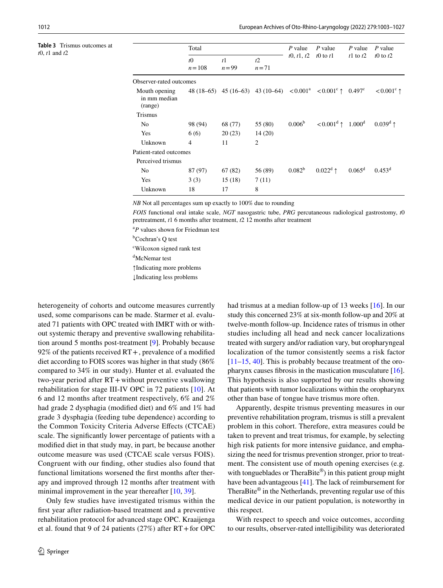<span id="page-10-0"></span>**Table 3** Trismus outcomes at *t*0, *t*1 and *t*2

|                                          | Total                  |                            |                                                                                 |                    | $P$ value                    | P value         | P value             |
|------------------------------------------|------------------------|----------------------------|---------------------------------------------------------------------------------|--------------------|------------------------------|-----------------|---------------------|
|                                          | $t\Omega$<br>$n = 108$ | t <sup>1</sup><br>$n = 99$ | t2<br>$n=71$                                                                    | t0, t1, t2         | to to the t                  | t1 to t2        | to to t2            |
| Observer-rated outcomes                  |                        |                            |                                                                                 |                    |                              |                 |                     |
| Mouth opening<br>in mm median<br>(range) | 48 (18–65)             |                            | 45 (16–63) 43 (10–64) $\lt 0.001^a$ $\lt 0.001^c$ $\uparrow$ 0.497 <sup>c</sup> |                    |                              |                 | $< 0.001^{\circ}$ 1 |
| <b>Trismus</b>                           |                        |                            |                                                                                 |                    |                              |                 |                     |
| No.                                      | 98 (94)                | 68 (77)                    | 55 (80)                                                                         | 0.006 <sup>b</sup> | $< 0.001^d \uparrow 1.000^d$ |                 | $0.039^d$ 1         |
| Yes                                      | 6(6)                   | 20(23)                     | 14(20)                                                                          |                    |                              |                 |                     |
| Unknown                                  | $\overline{4}$         | 11                         | 2                                                                               |                    |                              |                 |                     |
| Patient-rated outcomes                   |                        |                            |                                                                                 |                    |                              |                 |                     |
| Perceived trismus                        |                        |                            |                                                                                 |                    |                              |                 |                     |
| No.                                      | 87 (97)                | 67 (82)                    | 56 (89)                                                                         | $0.082^b$          | $0.022^d$ ↑                  | $0.065^{\rm d}$ | $0.453^d$           |
| Yes                                      | 3(3)                   | 15(18)                     | 7(11)                                                                           |                    |                              |                 |                     |
| Unknown                                  | 18                     | 17                         | 8                                                                               |                    |                              |                 |                     |

*NB* Not all percentages sum up exactly to 100% due to rounding

*FOIS* functional oral intake scale, *NGT* nasogastric tube, *PRG* percutaneous radiological gastrostomy, *t*0 pretreatment, *t*1 6 months after treatment, *t*2 12 months after treatment

<sup>a</sup>P values shown for Friedman test

<sup>b</sup>Cochran's Q test

c Wilcoxon signed rank test

d McNemar test

↑Indicating more problems

↓Indicating less problems

heterogeneity of cohorts and outcome measures currently used, some comparisons can be made. Starmer et al. evaluated 71 patients with OPC treated with IMRT with or without systemic therapy and preventive swallowing rehabilitation around 5 months post-treatment [[9\]](#page-24-20). Probably because 92% of the patients received  $RT +$ , prevalence of a modified diet according to FOIS scores was higher in that study (86% compared to 34% in our study). Hunter et al. evaluated the two-year period after RT+ without preventive swallowing rehabilitation for stage III-IV OPC in 72 patients [[10](#page-24-6)]. At 6 and 12 months after treatment respectively, 6% and 2% had grade 2 dysphagia (modifed diet) and 6% and 1% had grade 3 dysphagia (feeding tube dependence) according to the Common Toxicity Criteria Adverse Efects (CTCAE) scale. The signifcantly lower percentage of patients with a modifed diet in that study may, in part, be because another outcome measure was used (CTCAE scale versus FOIS). Congruent with our fnding, other studies also found that functional limitations worsened the frst months after therapy and improved through 12 months after treatment with minimal improvement in the year thereafter [\[10,](#page-24-6) [39\]](#page-25-11).

Only few studies have investigated trismus within the frst year after radiation-based treatment and a preventive rehabilitation protocol for advanced stage OPC. Kraaijenga et al. found that 9 of 24 patients (27%) after RT+for OPC had trismus at a median follow-up of 13 weeks [\[16](#page-24-8)]. In our study this concerned 23% at six-month follow-up and 20% at twelve-month follow-up. Incidence rates of trismus in other studies including all head and neck cancer localizations treated with surgery and/or radiation vary, but oropharyngeal localization of the tumor consistently seems a risk factor  $[11–15, 40]$  $[11–15, 40]$  $[11–15, 40]$  $[11–15, 40]$  $[11–15, 40]$ . This is probably because treatment of the oropharynx causes fbrosis in the mastication musculature [\[16](#page-24-8)]. This hypothesis is also supported by our results showing that patients with tumor localizations within the oropharynx other than base of tongue have trismus more often.

Apparently, despite trismus preventing measures in our preventive rehabilitation program, trismus is still a prevalent problem in this cohort. Therefore, extra measures could be taken to prevent and treat trismus, for example, by selecting high risk patients for more intensive guidance, and emphasizing the need for trismus prevention stronger, prior to treatment. The consistent use of mouth opening exercises (e.g. with tongueblades or TheraBite®) in this patient group might have been advantageous [[41\]](#page-25-13). The lack of reimbursement for TheraBite<sup>®</sup> in the Netherlands, preventing regular use of this medical device in our patient population, is noteworthy in this respect.

With respect to speech and voice outcomes, according to our results, observer-rated intelligibility was deteriorated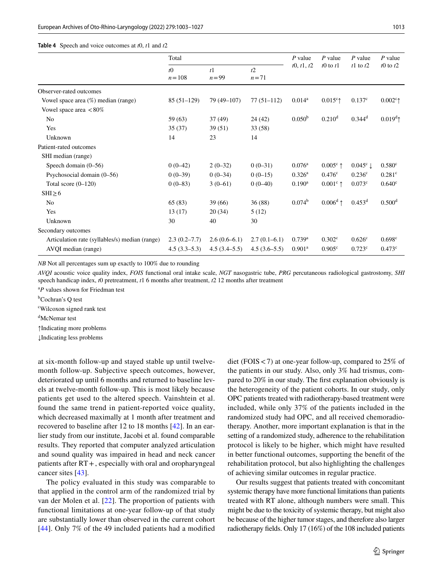#### <span id="page-11-0"></span>**Table 4** Speech and voice outcomes at *t*0, *t*1 and *t*2

|                                                | Total                  |                          |                | $P$ value                                                                                                                                                                                                                                                                                      | $P$ value         | $P$ value            | $P$ value            |
|------------------------------------------------|------------------------|--------------------------|----------------|------------------------------------------------------------------------------------------------------------------------------------------------------------------------------------------------------------------------------------------------------------------------------------------------|-------------------|----------------------|----------------------|
|                                                | $t\Omega$<br>$n = 108$ | t <sup>1</sup><br>$n=99$ | t2<br>$n=71$   | t0, t1, t2<br>$t0$ to $t1$<br>$0.014^{\rm a}$<br>$0.015^{\circ}$<br>$0.050^{b}$<br>0.210 <sup>d</sup><br>$0.076^{\rm a}$<br>$0.326^{\rm a}$<br>0.476 <sup>c</sup><br>$0.190^{\rm a}$<br>$0.074^{\rm b}$<br>$0.739$ <sup>a</sup><br>0.302 <sup>c</sup><br>0.901 <sup>a</sup><br>$0.905^{\circ}$ |                   | $t1$ to $t2$         | to to t2             |
| Observer-rated outcomes                        |                        |                          |                |                                                                                                                                                                                                                                                                                                |                   |                      |                      |
| Vowel space area $(\%)$ median (range)         | $85(51-129)$           | 79 (49–107)              | $77(51-112)$   |                                                                                                                                                                                                                                                                                                |                   | $0.137^c$            | $0.002^{\circ}$      |
| Vowel space area $\langle 80\%$                |                        |                          |                |                                                                                                                                                                                                                                                                                                |                   |                      |                      |
| N <sub>0</sub>                                 | 59 (63)                | 37(49)                   | 24(42)         |                                                                                                                                                                                                                                                                                                |                   | $0.344$ <sup>d</sup> | $0.019^d$            |
| Yes                                            | 35(37)                 | 39(51)                   | 33(58)         |                                                                                                                                                                                                                                                                                                |                   |                      |                      |
| Unknown                                        | 14                     | 23                       | 14             |                                                                                                                                                                                                                                                                                                |                   |                      |                      |
| Patient-rated outcomes                         |                        |                          |                |                                                                                                                                                                                                                                                                                                |                   |                      |                      |
| SHI median (range)                             |                        |                          |                |                                                                                                                                                                                                                                                                                                |                   |                      |                      |
| Speech domain $(0-56)$                         | $0(0-42)$              | $2(0-32)$                | $0(0-31)$      |                                                                                                                                                                                                                                                                                                | $0.005^{\circ}$ 1 | $0.045^{\circ}$      | 0.580 <sup>c</sup>   |
| Psychosocial domain $(0-56)$                   | $0(0-39)$              | $0(0-34)$                | $0(0-15)$      |                                                                                                                                                                                                                                                                                                |                   | 0.236 <sup>c</sup>   | $0.281$ <sup>c</sup> |
| Total score $(0-120)$                          | $0(0-83)$              | $3(0-61)$                | $0(0-40)$      |                                                                                                                                                                                                                                                                                                | $0.001^{\circ}$ ↑ | $0.073$ <sup>c</sup> | $0.640^{\circ}$      |
| $SHI \geq 6$                                   |                        |                          |                |                                                                                                                                                                                                                                                                                                |                   |                      |                      |
| No                                             | 65(83)                 | 39 (66)                  | 36(88)         |                                                                                                                                                                                                                                                                                                | $0.006^d$ ↑       | $0.453^d$            | 0.500 <sup>d</sup>   |
| Yes                                            | 13(17)                 | 20(34)                   | 5(12)          |                                                                                                                                                                                                                                                                                                |                   |                      |                      |
| Unknown                                        | 30                     | 40                       | 30             |                                                                                                                                                                                                                                                                                                |                   |                      |                      |
| Secondary outcomes                             |                        |                          |                |                                                                                                                                                                                                                                                                                                |                   |                      |                      |
| Articulation rate (syllables/s) median (range) | $2.3(0.2 - 7.7)$       | $2.6(0.6-6.1)$           | $2.7(0.1-6.1)$ |                                                                                                                                                                                                                                                                                                |                   | 0.626 <sup>c</sup>   | $0.698^{\circ}$      |
| AVQI median (range)                            | $4.5(3.3-5.3)$         | $4.5(3.4-5.5)$           | $4.5(3.6-5.5)$ |                                                                                                                                                                                                                                                                                                |                   | $0.723^{\circ}$      | $0.473^{\circ}$      |

*NB* Not all percentages sum up exactly to 100% due to rounding

*AVQI* acoustic voice quality index, *FOIS* functional oral intake scale, *NGT* nasogastric tube, *PRG* percutaneous radiological gastrostomy, *SHI* speech handicap index, *t*0 pretreatment, *t*1 6 months after treatment, *t*2 12 months after treatment

<sup>a</sup>P values shown for Friedman test

<sup>b</sup>Cochran's Q test

c Wilcoxon signed rank test

d McNemar test

↑Indicating more problems

↓Indicating less problems

at six-month follow-up and stayed stable up until twelvemonth follow-up. Subjective speech outcomes, however, deteriorated up until 6 months and returned to baseline levels at twelve-month follow-up. This is most likely because patients get used to the altered speech. Vainshtein et al. found the same trend in patient-reported voice quality, which decreased maximally at 1 month after treatment and recovered to baseline after 12 to 18 months [[42](#page-25-14)]. In an earlier study from our institute, Jacobi et al. found comparable results. They reported that computer analyzed articulation and sound quality was impaired in head and neck cancer patients after RT+, especially with oral and oropharyngeal cancer sites [[43\]](#page-25-15).

The policy evaluated in this study was comparable to that applied in the control arm of the randomized trial by van der Molen et al. [\[22\]](#page-24-14). The proportion of patients with functional limitations at one-year follow-up of that study are substantially lower than observed in the current cohort [\[44\]](#page-25-16). Only 7% of the 49 included patients had a modifed diet (FOIS  $<$  7) at one-year follow-up, compared to 25% of the patients in our study. Also, only 3% had trismus, compared to 20% in our study. The frst explanation obviously is the heterogeneity of the patient cohorts. In our study, only OPC patients treated with radiotherapy-based treatment were included, while only 37% of the patients included in the randomized study had OPC, and all received chemoradiotherapy. Another, more important explanation is that in the setting of a randomized study, adherence to the rehabilitation protocol is likely to be higher, which might have resulted in better functional outcomes, supporting the beneft of the rehabilitation protocol, but also highlighting the challenges of achieving similar outcomes in regular practice.

Our results suggest that patients treated with concomitant systemic therapy have more functional limitations than patients treated with RT alone, although numbers were small. This might be due to the toxicity of systemic therapy, but might also be because of the higher tumor stages, and therefore also larger radiotherapy felds. Only 17 (16%) of the 108 included patients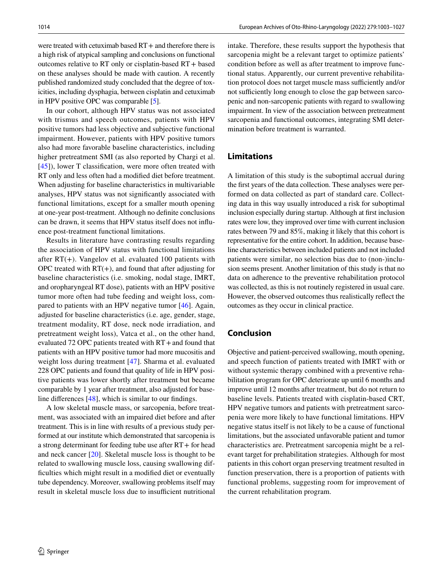were treated with cetuximab based RT + and therefore there is a high risk of atypical sampling and conclusions on functional outcomes relative to RT only or cisplatin-based RT+ based on these analyses should be made with caution. A recently published randomized study concluded that the degree of toxicities, including dysphagia, between cisplatin and cetuximab in HPV positive OPC was comparable [[5](#page-24-22)].

In our cohort, although HPV status was not associated with trismus and speech outcomes, patients with HPV positive tumors had less objective and subjective functional impairment. However, patients with HPV positive tumors also had more favorable baseline characteristics, including higher pretreatment SMI (as also reported by Chargi et al. [\[45\]](#page-25-17)), lower T classification, were more often treated with RT only and less often had a modifed diet before treatment. When adjusting for baseline characteristics in multivariable analyses, HPV status was not signifcantly associated with functional limitations, except for a smaller mouth opening at one-year post-treatment. Although no defnite conclusions can be drawn, it seems that HPV status itself does not infuence post-treatment functional limitations.

Results in literature have contrasting results regarding the association of HPV status with functional limitations after  $RT(+)$ . Vangelov et al. evaluated 100 patients with OPC treated with  $RT(+)$ , and found that after adjusting for baseline characteristics (i.e. smoking, nodal stage, IMRT, and oropharyngeal RT dose), patients with an HPV positive tumor more often had tube feeding and weight loss, compared to patients with an HPV negative tumor [\[46\]](#page-25-18). Again, adjusted for baseline characteristics (i.e. age, gender, stage, treatment modality, RT dose, neck node irradiation, and pretreatment weight loss), Vatca et al., on the other hand, evaluated 72 OPC patients treated with RT+and found that patients with an HPV positive tumor had more mucositis and weight loss during treatment [[47\]](#page-25-19). Sharma et al. evaluated 228 OPC patients and found that quality of life in HPV positive patients was lower shortly after treatment but became comparable by 1 year after treatment, also adjusted for baseline diferences [[48\]](#page-25-20), which is similar to our fndings.

A low skeletal muscle mass, or sarcopenia, before treatment, was associated with an impaired diet before and after treatment. This is in line with results of a previous study performed at our institute which demonstrated that sarcopenia is a strong determinant for feeding tube use after RT+ for head and neck cancer [\[20](#page-24-12)]. Skeletal muscle loss is thought to be related to swallowing muscle loss, causing swallowing diffculties which might result in a modifed diet or eventually tube dependency. Moreover, swallowing problems itself may result in skeletal muscle loss due to insufficient nutritional

intake. Therefore, these results support the hypothesis that sarcopenia might be a relevant target to optimize patients' condition before as well as after treatment to improve functional status. Apparently, our current preventive rehabilitation protocol does not target muscle mass sufficiently and/or not sufficiently long enough to close the gap between sarcopenic and non-sarcopenic patients with regard to swallowing impairment. In view of the association between pretreatment sarcopenia and functional outcomes, integrating SMI determination before treatment is warranted.

## **Limitations**

A limitation of this study is the suboptimal accrual during the frst years of the data collection. These analyses were performed on data collected as part of standard care. Collecting data in this way usually introduced a risk for suboptimal inclusion especially during startup. Although at frst inclusion rates were low, they improved over time with current inclusion rates between 79 and 85%, making it likely that this cohort is representative for the entire cohort. In addition, because baseline characteristics between included patients and not included patients were similar, no selection bias due to (non-)inclusion seems present. Another limitation of this study is that no data on adherence to the preventive rehabilitation protocol was collected, as this is not routinely registered in usual care. However, the observed outcomes thus realistically refect the outcomes as they occur in clinical practice.

# **Conclusion**

Objective and patient-perceived swallowing, mouth opening, and speech function of patients treated with IMRT with or without systemic therapy combined with a preventive rehabilitation program for OPC deteriorate up until 6 months and improve until 12 months after treatment, but do not return to baseline levels. Patients treated with cisplatin-based CRT, HPV negative tumors and patients with pretreatment sarcopenia were more likely to have functional limitations. HPV negative status itself is not likely to be a cause of functional limitations, but the associated unfavorable patient and tumor characteristics are. Pretreatment sarcopenia might be a relevant target for prehabilitation strategies. Although for most patients in this cohort organ preserving treatment resulted in function preservation, there is a proportion of patients with functional problems, suggesting room for improvement of the current rehabilitation program.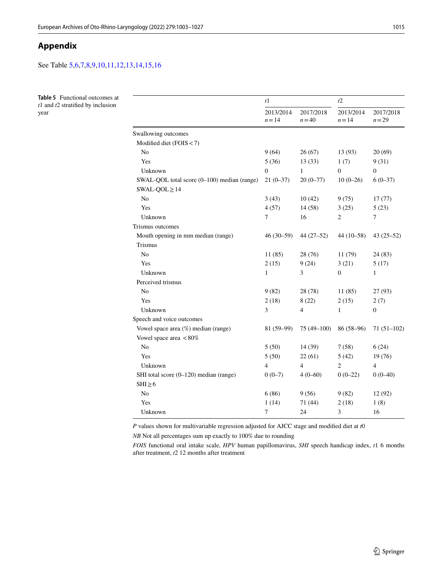# **Appendix**

See Table [5](#page-13-0),[6](#page-14-0)[,7](#page-15-0),[8,](#page-16-0)[9,](#page-16-1)[10](#page-17-0),[11](#page-18-0)[,12,](#page-19-0)[13](#page-20-0),[14](#page-21-0)[,15](#page-22-0),[16](#page-23-0)

<span id="page-13-0"></span>**Table 5** Functional outcomes at *t*1 and *t*2 stratifed by inclusion year

|                                             | t1                    |                          | t2                    |                       |  |
|---------------------------------------------|-----------------------|--------------------------|-----------------------|-----------------------|--|
|                                             | 2013/2014<br>$n = 14$ | 2017/2018<br>$n = 40$    | 2013/2014<br>$n = 14$ | 2017/2018<br>$n = 29$ |  |
| Swallowing outcomes                         |                       |                          |                       |                       |  |
| Modified diet (FOIS < 7)                    |                       |                          |                       |                       |  |
| N <sub>o</sub>                              | 9(64)                 | 26(67)                   | 13 (93)               | 20(69)                |  |
| Yes                                         | 5(36)                 | 13(33)                   | 1(7)                  | 9(31)                 |  |
| Unknown                                     | $\mathbf{0}$          | $\mathbf{1}$             | $\overline{0}$        | $\boldsymbol{0}$      |  |
| SWAL-QOL total score (0–100) median (range) | $21(0-37)$            | $20(0-77)$               | $10(0-26)$            | $6(0-37)$             |  |
| $SWAL-QOL \geq 14$                          |                       |                          |                       |                       |  |
| N <sub>o</sub>                              | 3(43)                 | 10(42)                   | 9(75)                 | 17(77)                |  |
| Yes                                         | 4(57)                 | 14(58)                   | 3(25)                 | 5(23)                 |  |
| Unknown                                     | 7                     | 16                       | $\overline{c}$        | $\overline{7}$        |  |
| Trismus outcomes                            |                       |                          |                       |                       |  |
| Mouth opening in mm median (range)          | $46(30-59)$           | $44(27-52)$              | $44(10-58)$           | $43(25-52)$           |  |
| <b>Trismus</b>                              |                       |                          |                       |                       |  |
| N <sub>o</sub>                              | 11(85)                | 28 (76)                  | 11(79)                | 24(83)                |  |
| Yes                                         | 2(15)                 | 9(24)                    | 3(21)                 | 5(17)                 |  |
| Unknown                                     | 1                     | 3                        | $\Omega$              | 1                     |  |
| Perceived trismus                           |                       |                          |                       |                       |  |
| N <sub>o</sub>                              | 9(82)                 | 28 (78)                  | 11(85)                | 27(93)                |  |
| Yes                                         | 2(18)                 | 8(22)                    | 2(15)                 | 2(7)                  |  |
| Unknown                                     | 3                     | $\overline{\mathcal{L}}$ | 1                     | $\overline{0}$        |  |
| Speech and voice outcomes                   |                       |                          |                       |                       |  |
| Vowel space area (%) median (range)         | $81(59-99)$           | 75 (49-100)              | 86 (58-96)            | $71(51-102)$          |  |
| Vowel space area <80%                       |                       |                          |                       |                       |  |
| N <sub>0</sub>                              | 5(50)                 | 14 (39)                  | 7(58)                 | 6(24)                 |  |
| Yes                                         | 5(50)                 | 22(61)                   | 5(42)                 | 19 (76)               |  |
| Unknown                                     | $\overline{4}$        | $\overline{4}$           | $\overline{2}$        | $\overline{4}$        |  |
| SHI total score (0–120) median (range)      | $0(0-7)$              | $4(0-60)$                | $0(0-22)$             | $0(0-40)$             |  |
| $SHI \geq 6$                                |                       |                          |                       |                       |  |
| N <sub>0</sub>                              | 6(86)                 | 9(56)                    | 9(82)                 | 12 (92)               |  |
| Yes                                         | 1(14)                 | 71 (44)                  | 2(18)                 | 1(8)                  |  |
| Unknown                                     | $\overline{7}$        | 24                       | 3                     | 16                    |  |

*P* values shown for multivariable regression adjusted for AJCC stage and modifed diet at *t*0

*NB* Not all percentages sum up exactly to 100% due to rounding

*FOIS* functional oral intake scale, *HPV* human papillomavirus, *SHI* speech handicap index, *t*1 6 months after treatment, *t*2 12 months after treatment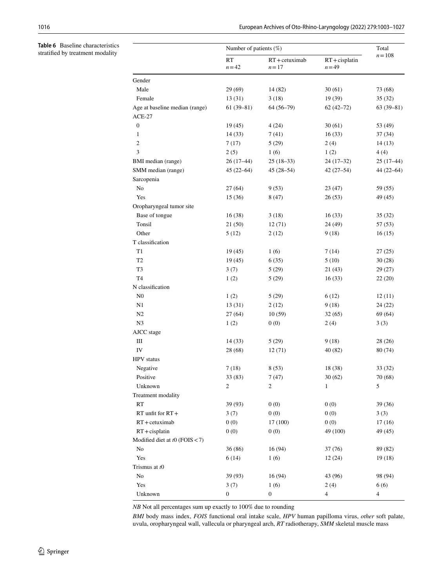<span id="page-14-0"></span>**Table 6** Baseline characteristics stratifed by treatment modality

|                                            | Number of patients $(\%)$ |                               |                               | Total          |
|--------------------------------------------|---------------------------|-------------------------------|-------------------------------|----------------|
|                                            | <b>RT</b><br>$n = 42$     | $RT + c$ etuximab<br>$n = 17$ | $RT + c$ isplatin<br>$n = 49$ | $n = 108$      |
| Gender                                     |                           |                               |                               |                |
| Male                                       | 29 (69)                   | 14 (82)                       | 30(61)                        | 73 (68)        |
| Female                                     | 13(31)                    | 3(18)                         | 19 (39)                       | 35(32)         |
| Age at baseline median (range)<br>$ACE-27$ | $61(39-81)$               | $64(56-79)$                   | $62(42 - 72)$                 | $63(39-81)$    |
| $\boldsymbol{0}$                           | 19(45)                    | 4(24)                         | 30(61)                        | 53 (49)        |
| 1                                          | 14(33)                    | 7(41)                         | 16(33)                        | 37(34)         |
| $\overline{c}$                             | 7(17)                     | 5(29)                         | 2(4)                          | 14 (13)        |
| 3                                          | 2(5)                      | 1(6)                          | 1(2)                          | 4(4)           |
| BMI median (range)                         | $26(17-44)$               | $25(18-33)$                   | $24(17-32)$                   | $25(17-44)$    |
| SMM median (range)                         | $45(22 - 64)$             | $45(28 - 54)$                 | $42(27 - 54)$                 | $44(22 - 64)$  |
| Sarcopenia                                 |                           |                               |                               |                |
| N <sub>0</sub>                             | 27(64)                    | 9(53)                         | 23(47)                        | 59 (55)        |
| Yes                                        | 15(36)                    | 8(47)                         | 26(53)                        | 49 (45)        |
| Oropharyngeal tumor site                   |                           |                               |                               |                |
| Base of tongue                             | 16(38)                    | 3(18)                         | 16(33)                        | 35 (32)        |
| Tonsil                                     | 21(50)                    | 12(71)                        | 24 (49)                       | 57 (53)        |
| Other                                      | 5(12)                     | 2(12)                         | 9(18)                         | 16(15)         |
| T classification                           |                           |                               |                               |                |
| T1                                         | 19(45)                    | 1(6)                          | 7(14)                         | 27(25)         |
| T <sub>2</sub>                             | 19(45)                    | 6(35)                         | 5(10)                         | 30(28)         |
| T3                                         | 3(7)                      | 5(29)                         | 21(43)                        | 29 (27)        |
| T <sub>4</sub>                             | 1(2)                      | 5(29)                         | 16(33)                        | 22(20)         |
| N classification                           |                           |                               |                               |                |
| N <sub>0</sub>                             | 1(2)                      | 5(29)                         | 6(12)                         | 12(11)         |
| N1                                         | 13(31)                    | 2(12)                         | 9(18)                         | 24(22)         |
| N <sub>2</sub>                             | 27(64)                    | 10(59)                        | 32(65)                        | 69(64)         |
| N3                                         | 1(2)                      | 0(0)                          | 2(4)                          | 3(3)           |
| AJCC stage                                 |                           |                               |                               |                |
| $\rm III$                                  | 14(33)                    | 5(29)                         | 9(18)                         | 28(26)         |
| IV                                         | 28 (68)                   | 12(71)                        | 40 (82)                       | 80 (74)        |
| <b>HPV</b> status                          |                           |                               |                               |                |
| Negative                                   | 7(18)                     | 8(53)                         | 18 (38)                       | 33 (32)        |
| Positive                                   | 33 (83)                   | 7(47)                         | 30(62)                        | 70 (68)        |
| Unknown                                    | $\overline{c}$            | $\mathbf{2}$                  | 1                             | 5              |
| Treatment modality                         |                           |                               |                               |                |
| RT                                         | 39 (93)                   | 0(0)                          | 0(0)                          | 39 (36)        |
| $RT$ unfit for $RT +$                      | 3(7)                      | 0(0)                          | 0(0)                          | 3(3)           |
| $RT + c$ etuximab                          | 0(0)                      | 17 (100)                      | 0(0)                          | 17(16)         |
| $RT + c$ isplatin                          | 0(0)                      | 0(0)                          | 49 (100)                      | 49 (45)        |
| Modified diet at $t0$ (FOIS < 7)           |                           |                               |                               |                |
| No                                         | 36(86)                    | 16(94)                        | 37(76)                        | 89 (82)        |
| Yes                                        | 6(14)                     | 1(6)                          | 12(24)                        | 19(18)         |
| Trismus at t0                              |                           |                               |                               |                |
| No                                         | 39 (93)                   | 16 (94)                       | 43 (96)                       | 98 (94)        |
| Yes                                        | 3(7)                      | 1(6)                          | 2(4)                          | 6(6)           |
| Unknown                                    | $\boldsymbol{0}$          | $\boldsymbol{0}$              | $\overline{4}$                | $\overline{4}$ |

*NB* Not all percentages sum up exactly to 100% due to rounding

*BMI* body mass index, *FOIS* functional oral intake scale, *HPV* human papilloma virus, *other* soft palate, uvula, oropharyngeal wall, vallecula or pharyngeal arch, *RT* radiotherapy, *SMM* skeletal muscle mass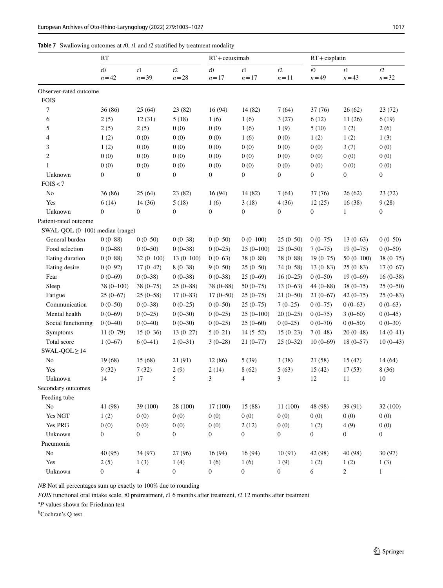<span id="page-15-0"></span>

| <b>Table 7</b> Swallowing outcomes at $t0$ , $t1$ and $t2$ stratified by treatment modality |  |
|---------------------------------------------------------------------------------------------|--|
|---------------------------------------------------------------------------------------------|--|

| t0<br>t1<br>t2<br>$t\theta$<br>t2<br>t1<br>t2<br>t1<br>$t\Omega$<br>$n = 42$<br>$n = 39$<br>$n = 28$<br>$n=17$<br>$n = 43$<br>$n = 32$<br>$n = 17$<br>$n=11$<br>$n = 49$<br>Observer-rated outcome<br><b>FOIS</b><br>7<br>36 (86)<br>25(64)<br>16(94)<br>26(62)<br>23(82)<br>14 (82)<br>7(64)<br>37(76)<br>6<br>2(5)<br>12(31)<br>5(18)<br>1(6)<br>1(6)<br>3(27)<br>6(12)<br>11(26)<br>6(19)<br>5<br>2(5)<br>2(5)<br>0(0)<br>0(0)<br>1(2)<br>1(6)<br>1(9)<br>5(10)<br>2(6)<br>4<br>0(0)<br>0(0)<br>1(2)<br>1(2)<br>0(0)<br>0(0)<br>1(6)<br>1(2)<br>1(3)<br>3<br>0(0)<br>0(0)<br>0(0)<br>0(0)<br>1(2)<br>0(0)<br>0(0)<br>3(7)<br>0(0)<br>$\overline{c}$<br>0(0)<br>0(0)<br>0(0)<br>0(0)<br>0(0)<br>0(0)<br>0(0)<br>0(0)<br>0(0)<br>0(0)<br>0(0)<br>0(0)<br>0(0)<br>0(0)<br>0(0)<br>0(0)<br>0(0)<br>0(0)<br>$\mathbf{1}$<br>$\boldsymbol{0}$<br>$\boldsymbol{0}$<br>$\boldsymbol{0}$<br>$\boldsymbol{0}$<br>$\boldsymbol{0}$<br>$\boldsymbol{0}$<br>$\boldsymbol{0}$<br>$\boldsymbol{0}$<br>Unknown<br>0<br>FOIS < 7<br>36 (86)<br>25(64)<br>16(94)<br>No<br>23 (82)<br>14 (82)<br>7(64)<br>37(76)<br>26(62)<br>Yes<br>5(18)<br>3(18)<br>9(28)<br>6(14)<br>14(36)<br>1(6)<br>4(36)<br>12(25)<br>16(38)<br>$\boldsymbol{0}$<br>$\boldsymbol{0}$<br>$\boldsymbol{0}$<br>$\boldsymbol{0}$<br>$\boldsymbol{0}$<br>$\boldsymbol{0}$<br>$\boldsymbol{0}$<br>$\boldsymbol{0}$<br>Unknown<br>1 |              |
|--------------------------------------------------------------------------------------------------------------------------------------------------------------------------------------------------------------------------------------------------------------------------------------------------------------------------------------------------------------------------------------------------------------------------------------------------------------------------------------------------------------------------------------------------------------------------------------------------------------------------------------------------------------------------------------------------------------------------------------------------------------------------------------------------------------------------------------------------------------------------------------------------------------------------------------------------------------------------------------------------------------------------------------------------------------------------------------------------------------------------------------------------------------------------------------------------------------------------------------------------------------------------------------------------------------------------------------------------------------------------------------|--------------|
|                                                                                                                                                                                                                                                                                                                                                                                                                                                                                                                                                                                                                                                                                                                                                                                                                                                                                                                                                                                                                                                                                                                                                                                                                                                                                                                                                                                      |              |
|                                                                                                                                                                                                                                                                                                                                                                                                                                                                                                                                                                                                                                                                                                                                                                                                                                                                                                                                                                                                                                                                                                                                                                                                                                                                                                                                                                                      |              |
|                                                                                                                                                                                                                                                                                                                                                                                                                                                                                                                                                                                                                                                                                                                                                                                                                                                                                                                                                                                                                                                                                                                                                                                                                                                                                                                                                                                      |              |
|                                                                                                                                                                                                                                                                                                                                                                                                                                                                                                                                                                                                                                                                                                                                                                                                                                                                                                                                                                                                                                                                                                                                                                                                                                                                                                                                                                                      | 23(72)       |
|                                                                                                                                                                                                                                                                                                                                                                                                                                                                                                                                                                                                                                                                                                                                                                                                                                                                                                                                                                                                                                                                                                                                                                                                                                                                                                                                                                                      |              |
|                                                                                                                                                                                                                                                                                                                                                                                                                                                                                                                                                                                                                                                                                                                                                                                                                                                                                                                                                                                                                                                                                                                                                                                                                                                                                                                                                                                      |              |
|                                                                                                                                                                                                                                                                                                                                                                                                                                                                                                                                                                                                                                                                                                                                                                                                                                                                                                                                                                                                                                                                                                                                                                                                                                                                                                                                                                                      |              |
|                                                                                                                                                                                                                                                                                                                                                                                                                                                                                                                                                                                                                                                                                                                                                                                                                                                                                                                                                                                                                                                                                                                                                                                                                                                                                                                                                                                      |              |
|                                                                                                                                                                                                                                                                                                                                                                                                                                                                                                                                                                                                                                                                                                                                                                                                                                                                                                                                                                                                                                                                                                                                                                                                                                                                                                                                                                                      |              |
|                                                                                                                                                                                                                                                                                                                                                                                                                                                                                                                                                                                                                                                                                                                                                                                                                                                                                                                                                                                                                                                                                                                                                                                                                                                                                                                                                                                      |              |
|                                                                                                                                                                                                                                                                                                                                                                                                                                                                                                                                                                                                                                                                                                                                                                                                                                                                                                                                                                                                                                                                                                                                                                                                                                                                                                                                                                                      |              |
|                                                                                                                                                                                                                                                                                                                                                                                                                                                                                                                                                                                                                                                                                                                                                                                                                                                                                                                                                                                                                                                                                                                                                                                                                                                                                                                                                                                      |              |
|                                                                                                                                                                                                                                                                                                                                                                                                                                                                                                                                                                                                                                                                                                                                                                                                                                                                                                                                                                                                                                                                                                                                                                                                                                                                                                                                                                                      | 23(72)       |
|                                                                                                                                                                                                                                                                                                                                                                                                                                                                                                                                                                                                                                                                                                                                                                                                                                                                                                                                                                                                                                                                                                                                                                                                                                                                                                                                                                                      |              |
|                                                                                                                                                                                                                                                                                                                                                                                                                                                                                                                                                                                                                                                                                                                                                                                                                                                                                                                                                                                                                                                                                                                                                                                                                                                                                                                                                                                      |              |
| Patient-rated outcome                                                                                                                                                                                                                                                                                                                                                                                                                                                                                                                                                                                                                                                                                                                                                                                                                                                                                                                                                                                                                                                                                                                                                                                                                                                                                                                                                                |              |
| SWAL-QOL (0-100) median (range)                                                                                                                                                                                                                                                                                                                                                                                                                                                                                                                                                                                                                                                                                                                                                                                                                                                                                                                                                                                                                                                                                                                                                                                                                                                                                                                                                      |              |
| General burden<br>$0(0-50)$<br>$0(0-100)$<br>$13(0-63)$<br>$0(0-88)$<br>$0(0-50)$<br>$0(0-38)$<br>$25(0-50)$<br>$0(0-75)$                                                                                                                                                                                                                                                                                                                                                                                                                                                                                                                                                                                                                                                                                                                                                                                                                                                                                                                                                                                                                                                                                                                                                                                                                                                            | $0(0-50)$    |
| Food selection<br>$0(0-88)$<br>$0(0-38)$<br>$0(0-25)$<br>$25(0-50)$<br>$19(0-75)$<br>$0(0-50)$<br>$25(0-100)$<br>$7(0-75)$                                                                                                                                                                                                                                                                                                                                                                                                                                                                                                                                                                                                                                                                                                                                                                                                                                                                                                                                                                                                                                                                                                                                                                                                                                                           | $0(0-50)$    |
| $0(0-88)$<br>$13(0-100)$<br>$0(0-63)$<br>$50(0-100)$<br>Eating duration<br>$32(0-100)$<br>$38(0 - 88)$<br>$38(0 - 88)$<br>$19(0 - 75)$                                                                                                                                                                                                                                                                                                                                                                                                                                                                                                                                                                                                                                                                                                                                                                                                                                                                                                                                                                                                                                                                                                                                                                                                                                               | $38(0 - 75)$ |
| $0(0-92)$<br>$17(0-42)$<br>$9(0-50)$<br>$13(0 - 83)$<br>$25(0-83)$<br>Eating desire<br>$8(0-38)$<br>$25(0-50)$<br>$34(0-58)$                                                                                                                                                                                                                                                                                                                                                                                                                                                                                                                                                                                                                                                                                                                                                                                                                                                                                                                                                                                                                                                                                                                                                                                                                                                         | $17(0-67)$   |
| $0(0-69)$<br>$0(0-38)$<br>$25(0-69)$<br>$0(0-50)$<br>$19(0-69)$<br>Fear<br>$0(0-38)$<br>$0(0-38)$<br>$16(0-25)$                                                                                                                                                                                                                                                                                                                                                                                                                                                                                                                                                                                                                                                                                                                                                                                                                                                                                                                                                                                                                                                                                                                                                                                                                                                                      | $16(0-38)$   |
| $38(0 - 75)$<br>$38(0 - 88)$<br>$13(0-63)$<br>$38(0 - 75)$<br>Sleep<br>$38(0-100)$<br>$25(0-88)$<br>$50(0-75)$<br>$44(0 - 88)$                                                                                                                                                                                                                                                                                                                                                                                                                                                                                                                                                                                                                                                                                                                                                                                                                                                                                                                                                                                                                                                                                                                                                                                                                                                       | $25(0-50)$   |
| Fatigue<br>$25(0-67)$<br>$25(0-58)$<br>$17(0-83)$<br>$17(0-50)$<br>$25(0-75)$<br>$21(0-50)$<br>$21(0-67)$<br>$42(0-75)$                                                                                                                                                                                                                                                                                                                                                                                                                                                                                                                                                                                                                                                                                                                                                                                                                                                                                                                                                                                                                                                                                                                                                                                                                                                              | $25(0-83)$   |
| $0(0-50)$<br>$0(0-38)$<br>$0(0-25)$<br>$0(0-50)$<br>$7(0-25)$<br>$0(0-63)$<br>Communication<br>$25(0-75)$<br>$0(0-75)$                                                                                                                                                                                                                                                                                                                                                                                                                                                                                                                                                                                                                                                                                                                                                                                                                                                                                                                                                                                                                                                                                                                                                                                                                                                               | $0(0-63)$    |
| Mental health<br>$0(0-69)$<br>$0(0-25)$<br>$0(0-30)$<br>$0(0-25)$<br>$25(0-100)$<br>$0(0-75)$<br>$3(0-60)$<br>$20(0-25)$                                                                                                                                                                                                                                                                                                                                                                                                                                                                                                                                                                                                                                                                                                                                                                                                                                                                                                                                                                                                                                                                                                                                                                                                                                                             | $0(0-45)$    |
| Social functioning<br>$0(0-40)$<br>$0(0-40)$<br>$0(0-30)$<br>$0(0-25)$<br>$25(0-60)$<br>$0(0-25)$<br>$0(0-70)$<br>$0(0-50)$                                                                                                                                                                                                                                                                                                                                                                                                                                                                                                                                                                                                                                                                                                                                                                                                                                                                                                                                                                                                                                                                                                                                                                                                                                                          | $0(0-30)$    |
| Symptoms<br>$15(0-36)$<br>$5(0-21)$<br>$14(5-52)$<br>$15(0-23)$<br>$20(0-48)$<br>$11(0-79)$<br>$13(0-27)$<br>$7(0-48)$                                                                                                                                                                                                                                                                                                                                                                                                                                                                                                                                                                                                                                                                                                                                                                                                                                                                                                                                                                                                                                                                                                                                                                                                                                                               | $14(0-41)$   |
| $1(0-67)$<br>$6(0-41)$<br>$2(0-31)$<br>$10(0-69)$<br>$18(0-57)$<br>Total score<br>$3(0-28)$<br>$21(0-77)$<br>$25(0-32)$                                                                                                                                                                                                                                                                                                                                                                                                                                                                                                                                                                                                                                                                                                                                                                                                                                                                                                                                                                                                                                                                                                                                                                                                                                                              | $10(0-43)$   |
| $SWAL-QOL \geq 14$                                                                                                                                                                                                                                                                                                                                                                                                                                                                                                                                                                                                                                                                                                                                                                                                                                                                                                                                                                                                                                                                                                                                                                                                                                                                                                                                                                   |              |
| N <sub>0</sub><br>19(68)<br>15 (68)<br>21 (91)<br>12(86)<br>5(39)<br>3(38)<br>21 (58)<br>15(47)                                                                                                                                                                                                                                                                                                                                                                                                                                                                                                                                                                                                                                                                                                                                                                                                                                                                                                                                                                                                                                                                                                                                                                                                                                                                                      | 14 (64)      |
| Yes<br>9(32)<br>7(32)<br>2(9)<br>8(62)<br>2(14)<br>5(63)<br>15(42)<br>17(53)<br>8 (36)                                                                                                                                                                                                                                                                                                                                                                                                                                                                                                                                                                                                                                                                                                                                                                                                                                                                                                                                                                                                                                                                                                                                                                                                                                                                                               |              |
| 5<br>17<br>3<br>3<br>12<br>11<br>10<br>Unknown<br>14<br>$\overline{4}$                                                                                                                                                                                                                                                                                                                                                                                                                                                                                                                                                                                                                                                                                                                                                                                                                                                                                                                                                                                                                                                                                                                                                                                                                                                                                                               |              |
| Secondary outcomes                                                                                                                                                                                                                                                                                                                                                                                                                                                                                                                                                                                                                                                                                                                                                                                                                                                                                                                                                                                                                                                                                                                                                                                                                                                                                                                                                                   |              |
| Feeding tube                                                                                                                                                                                                                                                                                                                                                                                                                                                                                                                                                                                                                                                                                                                                                                                                                                                                                                                                                                                                                                                                                                                                                                                                                                                                                                                                                                         |              |
| N <sub>o</sub><br>41 (98)<br>39 (100)<br>28 (100)<br>17(100)<br>15(88)<br>11(100)<br>39 (91)<br>48 (98)                                                                                                                                                                                                                                                                                                                                                                                                                                                                                                                                                                                                                                                                                                                                                                                                                                                                                                                                                                                                                                                                                                                                                                                                                                                                              | 32 (100)     |
| 0(0)<br>Yes NGT<br>1(2)<br>0(0)<br>0(0)<br>0(0)<br>0(0)<br>0(0)<br>0(0)<br>0(0)                                                                                                                                                                                                                                                                                                                                                                                                                                                                                                                                                                                                                                                                                                                                                                                                                                                                                                                                                                                                                                                                                                                                                                                                                                                                                                      |              |
| Yes PRG<br>0(0)<br>0(0)<br>0(0)<br>0(0)<br>2(12)<br>0(0)<br>4(9)<br>0(0)<br>1(2)                                                                                                                                                                                                                                                                                                                                                                                                                                                                                                                                                                                                                                                                                                                                                                                                                                                                                                                                                                                                                                                                                                                                                                                                                                                                                                     |              |
| Unknown<br>$\mathbf{0}$<br>$\boldsymbol{0}$<br>$\boldsymbol{0}$<br>$\boldsymbol{0}$<br>$\boldsymbol{0}$<br>$\boldsymbol{0}$<br>$\boldsymbol{0}$<br>$\boldsymbol{0}$<br>$\boldsymbol{0}$                                                                                                                                                                                                                                                                                                                                                                                                                                                                                                                                                                                                                                                                                                                                                                                                                                                                                                                                                                                                                                                                                                                                                                                              |              |
| Pneumonia                                                                                                                                                                                                                                                                                                                                                                                                                                                                                                                                                                                                                                                                                                                                                                                                                                                                                                                                                                                                                                                                                                                                                                                                                                                                                                                                                                            |              |
| No<br>40 (95)<br>34 (97)<br>27 (96)<br>16(94)<br>16(94)<br>10(91)<br>40 (98)<br>42 (98)                                                                                                                                                                                                                                                                                                                                                                                                                                                                                                                                                                                                                                                                                                                                                                                                                                                                                                                                                                                                                                                                                                                                                                                                                                                                                              | 30 (97)      |
| Yes<br>1(6)<br>1(6)<br>1(9)<br>1(2)<br>2(5)<br>1(3)<br>1(4)<br>1(2)<br>1(3)                                                                                                                                                                                                                                                                                                                                                                                                                                                                                                                                                                                                                                                                                                                                                                                                                                                                                                                                                                                                                                                                                                                                                                                                                                                                                                          |              |
| Unknown<br>$\boldsymbol{0}$<br>$\boldsymbol{0}$<br>$\boldsymbol{0}$<br>4<br>$\boldsymbol{0}$<br>$\boldsymbol{0}$<br>6<br>2<br>$\mathbf{1}$                                                                                                                                                                                                                                                                                                                                                                                                                                                                                                                                                                                                                                                                                                                                                                                                                                                                                                                                                                                                                                                                                                                                                                                                                                           |              |

*FOIS* functional oral intake scale, *t*0 pretreatment, *t*1 6 months after treatment, *t*2 12 months after treatment

<sup>a</sup>P values shown for Friedman test

<sup>b</sup>Cochran's Q test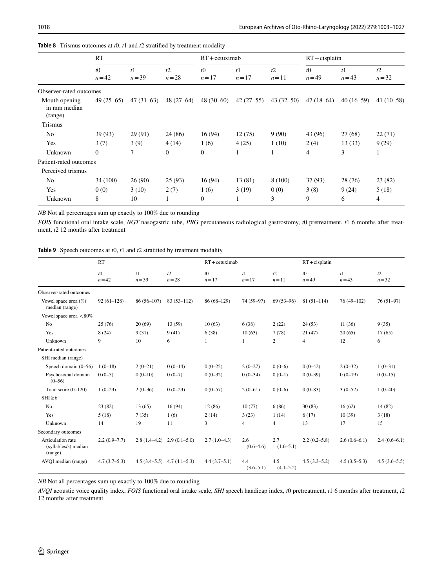|                                          | RT                  |                            |                | $RT +$ cetuximab    |                          |               | $RT + c$ isplatin     |                            |                |
|------------------------------------------|---------------------|----------------------------|----------------|---------------------|--------------------------|---------------|-----------------------|----------------------------|----------------|
|                                          | $t\Omega$<br>$n=42$ | t <sub>1</sub><br>$n = 39$ | t2<br>$n = 28$ | $t\Omega$<br>$n=17$ | t <sub>1</sub><br>$n=17$ | t2<br>$n=11$  | $t\Omega$<br>$n = 49$ | t <sub>1</sub><br>$n = 43$ | t2<br>$n = 32$ |
| Observer-rated outcomes                  |                     |                            |                |                     |                          |               |                       |                            |                |
| Mouth opening<br>in mm median<br>(range) | $49(25-65)$         | $47(31-63)$                | $48(27-64)$    | $48(30-60)$         | $42(27-55)$              | $43(32 - 50)$ | $47(18-64)$           | $40(16-59)$                | $41(10-58)$    |
| <b>Trismus</b>                           |                     |                            |                |                     |                          |               |                       |                            |                |
| N <sub>0</sub>                           | 39(93)              | 29 (91)                    | 24 (86)        | 16(94)              | 12(75)                   | 9(90)         | 43 (96)               | 27(68)                     | 22(71)         |
| Yes                                      | 3(7)                | 3(9)                       | 4(14)          | 1(6)                | 4(25)                    | 1(10)         | 2(4)                  | 13(33)                     | 9(29)          |
| Unknown                                  | $\Omega$            | $\tau$                     | $\mathbf{0}$   | $\overline{0}$      |                          |               | 4                     | 3                          | 1              |
| Patient-rated outcomes                   |                     |                            |                |                     |                          |               |                       |                            |                |
| Perceived trismus                        |                     |                            |                |                     |                          |               |                       |                            |                |
| No                                       | 34 (100)            | 26(90)                     | 25(93)         | 16(94)              | 13 (81)                  | 8 (100)       | 37 (93)               | 28(76)                     | 23(82)         |
| Yes                                      | 0(0)                | 3(10)                      | 2(7)           | 1(6)                | 3(19)                    | 0(0)          | 3(8)                  | 9(24)                      | 5(18)          |
| Unknown                                  | 8                   | 10                         | $\mathbf{1}$   | $\mathbf{0}$        |                          | 3             | 9                     | 6                          | 4              |

<span id="page-16-0"></span>

| Table 8 Trismus outcomes at $t0$ , $t1$ and $t2$ stratified by treatment modality |  |
|-----------------------------------------------------------------------------------|--|
|-----------------------------------------------------------------------------------|--|

*FOIS* functional oral intake scale, *NGT* nasogastric tube, *PRG* percutaneous radiological gastrostomy, *t*0 pretreatment, *t*1 6 months after treatment, *t*2 12 months after treatment

<span id="page-16-1"></span>

|  |  | Table 9 Speech outcomes at $t0$ , $t1$ and $t2$ stratified by treatment modality |  |  |  |  |  |  |
|--|--|----------------------------------------------------------------------------------|--|--|--|--|--|--|
|--|--|----------------------------------------------------------------------------------|--|--|--|--|--|--|

|                                                      | RT                    |                |                               |                     | $RT + c$ etuximab        |                      |                       | $RT + c$ isplatin          |                |  |
|------------------------------------------------------|-----------------------|----------------|-------------------------------|---------------------|--------------------------|----------------------|-----------------------|----------------------------|----------------|--|
|                                                      | $t\theta$<br>$n = 42$ | t1<br>$n = 39$ | t2<br>$n = 28$                | $t\Omega$<br>$n=17$ | t <sup>1</sup><br>$n=17$ | t2<br>$n=11$         | $t\Omega$<br>$n = 49$ | t <sup>1</sup><br>$n = 43$ | t2<br>$n = 32$ |  |
| Observer-rated outcomes                              |                       |                |                               |                     |                          |                      |                       |                            |                |  |
| Vowel space area $(\%)$<br>median (range)            | $92(61-128)$          | $86(56-107)$   | $83(53 - 112)$                | 86 (68-129)         | 74 (59-97)               | $69(53-96)$          | $81(51-114)$          | 76 (49-102)                | $76(51-97)$    |  |
| Vowel space area $\langle 80\%$                      |                       |                |                               |                     |                          |                      |                       |                            |                |  |
| N <sub>0</sub>                                       | 25(76)                | 20(69)         | 13 (59)                       | 10(63)              | 6(38)                    | 2(22)                | 24(53)                | 11(36)                     | 9(35)          |  |
| Yes                                                  | 8(24)                 | 9(31)          | 9(41)                         | 6(38)               | 10(63)                   | 7(78)                | 21(47)                | 20(65)                     | 17(65)         |  |
| Unknown                                              | 9                     | 10             | 6                             | 1                   | 1                        | 2                    | 4                     | 12                         | 6              |  |
| Patient-rated outcomes                               |                       |                |                               |                     |                          |                      |                       |                            |                |  |
| SHI median (range)                                   |                       |                |                               |                     |                          |                      |                       |                            |                |  |
| Speech domain (0-56)                                 | $1(0-18)$             | $2(0-21)$      | $0(0-14)$                     | $0(0-25)$           | $2(0-27)$                | $0(0-6)$             | $0(0-42)$             | $2(0-32)$                  | $1(0-31)$      |  |
| Psychosocial domain<br>$(0 - 56)$                    | $0(0-5)$              | $0(0-10)$      | $0(0-7)$                      | $0(0-32)$           | $0(0-34)$                | $0(0-1)$             | $0(0-39)$             | $0(0-19)$                  | $0(0-15)$      |  |
| Total score $(0-120)$                                | $1(0-23)$             | $2(0-36)$      | $0(0-23)$                     | $0(0-57)$           | $2(0-61)$                | $0(0-6)$             | $0(0-83)$             | $3(0-52)$                  | $1(0-40)$      |  |
| $SHI \geq 6$                                         |                       |                |                               |                     |                          |                      |                       |                            |                |  |
| N <sub>o</sub>                                       | 23(82)                | 13(65)         | 16(94)                        | 12(86)              | 10(77)                   | 6(86)                | 30(83)                | 16(62)                     | 14(82)         |  |
| Yes                                                  | 5(18)                 | 7(35)          | 1(6)                          | 2(14)               | 3(23)                    | 1(14)                | 6(17)                 | 10(39)                     | 3(18)          |  |
| Unknown                                              | 14                    | 19             | 11                            | 3                   | $\overline{4}$           | $\overline{4}$       | 13                    | 17                         | 15             |  |
| Secondary outcomes                                   |                       |                |                               |                     |                          |                      |                       |                            |                |  |
| Articulation rate<br>(syllables/s) median<br>(range) | $2.2(0.9-7.7)$        | $2.8(1.4-4.2)$ | $2.9(0.1-5.0)$                | $2.7(1.0-4.3)$      | 2.6<br>$(0.6-4.6)$       | 2.7<br>$(1.6-5.1)$   | $2.2(0.2 - 5.8)$      | $2.6(0.6-6.1)$             | $2.4(0.6-6.1)$ |  |
| AVQI median (range)                                  | $4.7(3.7-5.3)$        |                | $4.5(3.4-5.5)$ $4.7(4.1-5.3)$ | $4.4(3.7-5.1)$      | 4.4<br>$(3.6 - 5.1)$     | 4.5<br>$(4.1 - 5.2)$ | $4.5(3.3-5.2)$        | $4.5(3.5-5.3)$             | $4.5(3.6-5.5)$ |  |

*NB* Not all percentages sum up exactly to 100% due to rounding

*AVQI* acoustic voice quality index, *FOIS* functional oral intake scale, *SHI* speech handicap index, *t*0 pretreatment, *t*1 6 months after treatment, *t*2 12 months after treatment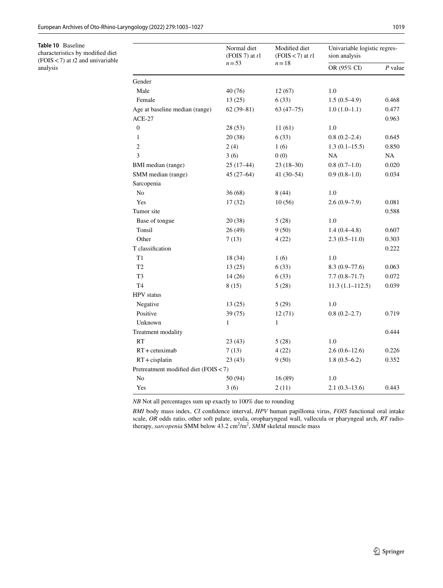<span id="page-17-0"></span>**Table 10** Baseline characteristics by modifed diet (FOIS<7) at *t*2 and univariable

analysis

|                                       | Normal diet<br>(FOIS 7) at $t1$ | Modified diet<br>(FOIS < 7) at $t1$ | Univariable logistic regres-<br>sion analysis |           |  |
|---------------------------------------|---------------------------------|-------------------------------------|-----------------------------------------------|-----------|--|
|                                       | $n = 53$                        | $n=18$                              | OR (95% CI)                                   | $P$ value |  |
| Gender                                |                                 |                                     |                                               |           |  |
| Male                                  | 40 (76)                         | 12(67)                              | 1.0                                           |           |  |
| Female                                | 13(25)                          | 6(33)                               | $1.5(0.5-4.9)$                                | 0.468     |  |
| Age at baseline median (range)        | $62(39 - 81)$                   | $63(47-75)$                         | $1.0(1.0-1.1)$                                | 0.477     |  |
| $ACE-27$                              |                                 |                                     |                                               | 0.963     |  |
| $\boldsymbol{0}$                      | 28 (53)                         | 11 (61)                             | 1.0                                           |           |  |
| $\mathbf{1}$                          | 20 (38)                         | 6(33)                               | $0.8(0.2-2.4)$                                | 0.645     |  |
| $\mathfrak{2}$                        | 2(4)                            | 1(6)                                | $1.3(0.1-15.5)$                               | 0.850     |  |
| 3                                     | 3(6)                            | 0(0)                                | NA                                            | NA        |  |
| BMI median (range)                    | $25(17-44)$                     | $23(18-30)$                         | $0.8(0.7-1.0)$                                | 0.020     |  |
| SMM median (range)                    | $45(27-64)$                     | $41(30-54)$                         | $0.9(0.8-1.0)$                                | 0.034     |  |
| Sarcopenia                            |                                 |                                     |                                               |           |  |
| No                                    | 36(68)                          | 8(44)                               | 1.0                                           |           |  |
| Yes                                   | 17(32)                          | 10(56)                              | $2.6(0.9-7.9)$                                | 0.081     |  |
| Tumor site                            |                                 |                                     |                                               | 0.588     |  |
| Base of tongue                        | 20 (38)                         | 5(28)                               | 1.0                                           |           |  |
| Tonsil                                | 26(49)                          | 9(50)                               | $1.4(0.4-4.8)$                                | 0.607     |  |
| Other                                 | 7(13)                           | 4(22)                               | $2.3(0.5-11.0)$                               | 0.303     |  |
| T classification                      |                                 |                                     |                                               | 0.222     |  |
| T1                                    | 18 (34)                         | 1(6)                                | 1.0                                           |           |  |
| T <sub>2</sub>                        | 13(25)                          | 6(33)                               | $8.3(0.9 - 77.6)$                             | 0.063     |  |
| T3                                    | 14(26)                          | 6(33)                               | $7.7(0.8 - 71.7)$                             | 0.072     |  |
| T <sub>4</sub>                        | 8(15)                           | 5(28)                               | $11.3(1.1 - 112.5)$                           | 0.039     |  |
| HPV status                            |                                 |                                     |                                               |           |  |
| Negative                              | 13(25)                          | 5(29)                               | 1.0                                           |           |  |
| Positive                              | 39 (75)                         | 12(71)                              | $0.8(0.2 - 2.7)$                              | 0.719     |  |
| Unknown                               | 1                               | $\mathbf{1}$                        |                                               |           |  |
| Treatment modality                    |                                 |                                     |                                               | 0.444     |  |
| <b>RT</b>                             | 23 (43)                         | 5(28)                               | 1.0                                           |           |  |
| $RT +$ cetuximab                      | 7(13)                           | 4(22)                               | $2.6(0.6-12.6)$                               | 0.226     |  |
| $RT + c$ isplatin                     | 23(43)                          | 9(50)                               | $1.8(0.5-6.2)$                                | 0.352     |  |
| Pretreatment modified diet (FOIS < 7) |                                 |                                     |                                               |           |  |
| No                                    | 50 (94)                         | 16(89)                              | 1.0                                           |           |  |
| Yes                                   | 3(6)                            | 2(11)                               | $2.1(0.3-13.6)$                               | 0.443     |  |

*BMI* body mass index, *CI* confdence interval, *HPV* human papilloma virus, *FOIS* functional oral intake scale, *OR* odds ratio, other soft palate, uvula, oropharyngeal wall, vallecula or pharyngeal arch, *RT* radiotherapy, *sarcopenia* SMM below 43.2 cm<sup>2</sup>/m<sup>2</sup>, SMM skeletal muscle mass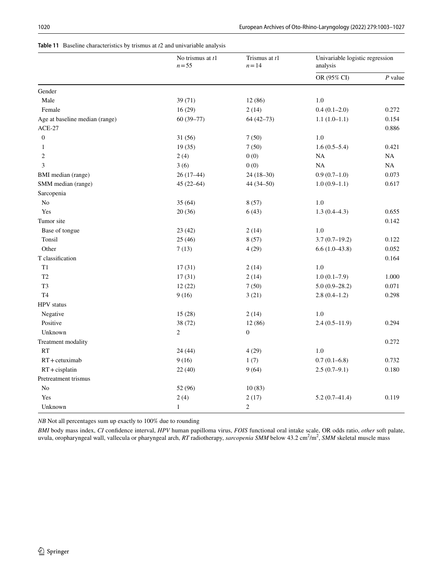# <span id="page-18-0"></span>**Table 11** Baseline characteristics by trismus at *t*2 and univariable analysis

|                                | No trismus at $t1$<br>$n = 55$ | Trismus at t1<br>$n = 14$ |                  | Univariable logistic regression<br>analysis |  |
|--------------------------------|--------------------------------|---------------------------|------------------|---------------------------------------------|--|
|                                |                                |                           | OR (95% CI)      | $P$ value                                   |  |
| Gender                         |                                |                           |                  |                                             |  |
| Male                           | 39 (71)                        | 12 (86)                   | $1.0\,$          |                                             |  |
| Female                         | 16(29)                         | 2(14)                     | $0.4(0.1-2.0)$   | 0.272                                       |  |
| Age at baseline median (range) | $60(39-77)$                    | $64(42-73)$               | $1.1(1.0-1.1)$   | 0.154                                       |  |
| $ACE-27$                       |                                |                           |                  | 0.886                                       |  |
| $\boldsymbol{0}$               | 31 (56)                        | 7(50)                     | 1.0              |                                             |  |
| $\mathbf{1}$                   | 19(35)                         | 7(50)                     | $1.6(0.5-5.4)$   | 0.421                                       |  |
| $\overline{2}$                 | 2(4)                           | 0(0)                      | NA               | NA                                          |  |
| 3                              | 3(6)                           | 0(0)                      | NA               | NA                                          |  |
| BMI median (range)             | $26(17-44)$                    | $24(18-30)$               | $0.9(0.7-1.0)$   | 0.073                                       |  |
| SMM median (range)             | $45(22 - 64)$                  | 44 (34-50)                | $1.0(0.9-1.1)$   | 0.617                                       |  |
| Sarcopenia                     |                                |                           |                  |                                             |  |
| No                             | 35(64)                         | 8(57)                     | 1.0              |                                             |  |
| Yes                            | 20(36)                         | 6(43)                     | $1.3(0.4 - 4.3)$ | 0.655                                       |  |
| Tumor site                     |                                |                           |                  | 0.142                                       |  |
| Base of tongue                 | 23(42)                         | 2(14)                     | 1.0              |                                             |  |
| Tonsil                         | 25(46)                         | 8(57)                     | $3.7(0.7-19.2)$  | 0.122                                       |  |
| Other                          | 7(13)                          | 4(29)                     | $6.6(1.0-43.8)$  | 0.052                                       |  |
| T classification               |                                |                           |                  | 0.164                                       |  |
| T1                             | 17(31)                         | 2(14)                     | 1.0              |                                             |  |
| T2                             | 17(31)                         | 2(14)                     | $1.0(0.1-7.9)$   | 1.000                                       |  |
| T <sub>3</sub>                 | 12(22)                         | 7(50)                     | $5.0(0.9-28.2)$  | 0.071                                       |  |
| T <sub>4</sub>                 | 9(16)                          | 3(21)                     | $2.8(0.4-1.2)$   | 0.298                                       |  |
| <b>HPV</b> status              |                                |                           |                  |                                             |  |
| Negative                       | 15(28)                         | 2(14)                     | 1.0              |                                             |  |
| Positive                       | 38 (72)                        | 12(86)                    | $2.4(0.5-11.9)$  | 0.294                                       |  |
| Unknown                        | $\overline{c}$                 | $\boldsymbol{0}$          |                  |                                             |  |
| Treatment modality             |                                |                           |                  | 0.272                                       |  |
| <b>RT</b>                      | 24(44)                         | 4(29)                     | 1.0              |                                             |  |
| $RT +$ cetuximab               | 9(16)                          | 1(7)                      | $0.7(0.1 - 6.8)$ | 0.732                                       |  |
| $RT + c$ isplatin              | 22(40)                         | 9(64)                     | $2.5(0.7-9.1)$   | 0.180                                       |  |
| Pretreatment trismus           |                                |                           |                  |                                             |  |
| N <sub>o</sub>                 | 52 (96)                        | 10(83)                    |                  |                                             |  |
| Yes                            | 2(4)                           | 2(17)                     | $5.2(0.7-41.4)$  | 0.119                                       |  |
| Unknown                        | $\mathbf{1}$                   | $\overline{c}$            |                  |                                             |  |

*NB* Not all percentages sum up exactly to 100% due to rounding

*BMI* body mass index, *CI* confdence interval, *HPV* human papilloma virus, *FOIS* functional oral intake scale, OR odds ratio, *other* soft palate, uvula, oropharyngeal wall, vallecula or pharyngeal arch, *RT* radiotherapy, *sarcopenia SMM* below 43.2 cm<sup>2</sup>/m<sup>2</sup>, SMM skeletal muscle mass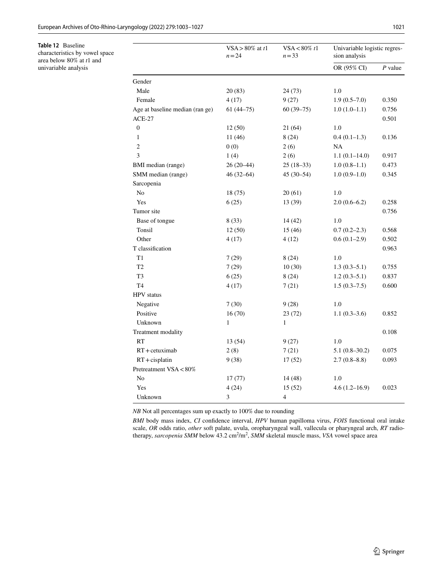<span id="page-19-0"></span>**Table 12** Baseline characteristics by vowel space area below 80% at *t*1 and univariable analysis

|                                 | VSA > $80\%$ at t1<br>$n = 24$ | $VSA < 80\%$ t1<br>$n = 33$ | Univariable logistic regres-<br>sion analysis |           |  |
|---------------------------------|--------------------------------|-----------------------------|-----------------------------------------------|-----------|--|
|                                 |                                |                             | OR (95% CI)                                   | $P$ value |  |
| Gender                          |                                |                             |                                               |           |  |
| Male                            | 20(83)                         | 24 (73)                     | 1.0                                           |           |  |
| Female                          | 4(17)                          | 9(27)                       | $1.9(0.5-7.0)$                                | 0.350     |  |
| Age at baseline median (ran ge) | $61(44-75)$                    | $60(39-75)$                 | $1.0(1.0-1.1)$                                | 0.756     |  |
| <b>ACE-27</b>                   |                                |                             |                                               | 0.501     |  |
| $\overline{0}$                  | 12(50)                         | 21 (64)                     | 1.0                                           |           |  |
| $\mathbf{1}$                    | 11 (46)                        | 8(24)                       | $0.4(0.1-1.3)$                                | 0.136     |  |
| $\overline{2}$                  | 0(0)                           | 2(6)                        | NA                                            |           |  |
| 3                               | 1(4)                           | 2(6)                        | $1.1(0.1 - 14.0)$                             | 0.917     |  |
| BMI median (range)              | $26(20-44)$                    | $25(18-33)$                 | $1.0(0.8-1.1)$                                | 0.473     |  |
| SMM median (range)              | $46(32 - 64)$                  | $45(30-54)$                 | $1.0(0.9-1.0)$                                | 0.345     |  |
| Sarcopenia                      |                                |                             |                                               |           |  |
| N <sub>0</sub>                  | 18 (75)                        | 20(61)                      | 1.0                                           |           |  |
| Yes                             | 6(25)                          | 13 (39)                     | $2.0(0.6-6.2)$                                | 0.258     |  |
| Tumor site                      |                                |                             |                                               | 0.756     |  |
| Base of tongue                  | 8 (33)                         | 14 (42)                     | 1.0                                           |           |  |
| Tonsil                          | 12(50)                         | 15(46)                      | $0.7(0.2-2.3)$                                | 0.568     |  |
| Other                           | 4(17)                          | 4(12)                       | $0.6(0.1-2.9)$                                | 0.502     |  |
| T classification                |                                |                             |                                               | 0.963     |  |
| T1                              | 7(29)                          | 8(24)                       | 1.0                                           |           |  |
| T <sub>2</sub>                  | 7(29)                          | 10(30)                      | $1.3(0.3-5.1)$                                | 0.755     |  |
| T <sub>3</sub>                  | 6(25)                          | 8(24)                       | $1.2(0.3-5.1)$                                | 0.837     |  |
| T <sub>4</sub>                  | 4 (17)                         | 7(21)                       | $1.5(0.3 - 7.5)$                              | 0.600     |  |
| <b>HPV</b> status               |                                |                             |                                               |           |  |
| Negative                        | 7(30)                          | 9(28)                       | 1.0                                           |           |  |
| Positive                        | 16(70)                         | 23(72)                      | $1.1(0.3-3.6)$                                | 0.852     |  |
| Unknown                         | $\mathbf{1}$                   | $\mathbf{1}$                |                                               |           |  |
| Treatment modality              |                                |                             |                                               | 0.108     |  |
| RT                              | 13 (54)                        | 9(27)                       | 1.0                                           |           |  |
| $RT +$ cetuximab                | 2(8)                           | 7(21)                       | $5.1(0.8-30.2)$                               | 0.075     |  |
| $RT + c$ isplatin               | 9(38)                          | 17(52)                      | 2.7(0.8–8.8)                                  | 0.093     |  |
| Pretreatment VSA < 80%          |                                |                             |                                               |           |  |
| No                              | 17(77)                         | 14 (48)                     | 1.0                                           |           |  |
| Yes                             | 4(24)                          | 15 (52)                     | $4.6(1.2 - 16.9)$                             | 0.023     |  |
| Unknown                         | 3                              | 4                           |                                               |           |  |

*NB* Not all percentages sum up exactly to 100% due to rounding

*BMI* body mass index, *CI* confdence interval, *HPV* human papilloma virus, *FOIS* functional oral intake scale, *OR* odds ratio, *other* soft palate, uvula, oropharyngeal wall, vallecula or pharyngeal arch, *RT* radiotherapy, *sarcopenia SMM* below 43.2 cm<sup>2</sup>/m<sup>2</sup>, SMM skeletal muscle mass, *VSA* vowel space area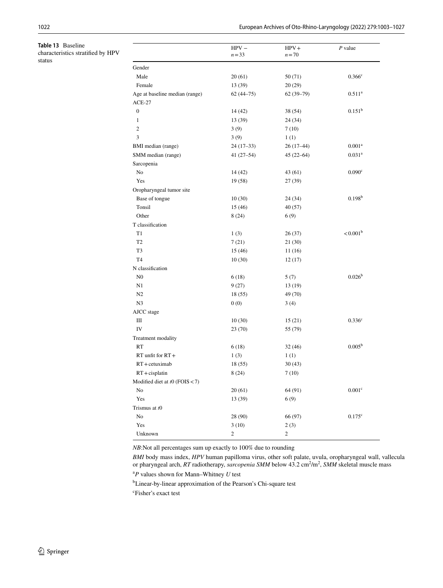<span id="page-20-0"></span>**Table 13** Baseline characteristics stratifed by HPV status

|                                  | $HPV -$<br>$n = 33$ | $HPV +$<br>$n = 70$ | $P$ value            |
|----------------------------------|---------------------|---------------------|----------------------|
| Gender                           |                     |                     |                      |
| Male                             | 20(61)              | 50(71)              | 0.366 <sup>c</sup>   |
| Female                           | 13 (39)             | 20(29)              |                      |
| Age at baseline median (range)   | $62(44-75)$         | $62(39-79)$         | $0.511^{\rm a}$      |
| $ACE-27$                         |                     |                     |                      |
| $\boldsymbol{0}$                 | 14 (42)             | 38 (54)             | 0.151 <sup>b</sup>   |
| $\mathbf{1}$                     | 13 (39)             | 24 (34)             |                      |
| $\overline{c}$                   | 3(9)                | 7(10)               |                      |
| 3                                | 3(9)                | 1(1)                |                      |
| BMI median (range)               | $24(17-33)$         | $26(17-44)$         | 0.001 <sup>a</sup>   |
| SMM median (range)               | $41(27-54)$         | $45(22-64)$         | 0.031 <sup>a</sup>   |
| Sarcopenia                       |                     |                     |                      |
| No                               | 14 (42)             | 43 (61)             | 0.090 <sup>c</sup>   |
| Yes                              | 19 (58)             | 27 (39)             |                      |
| Oropharyngeal tumor site         |                     |                     |                      |
| Base of tongue                   | 10(30)              | 24 (34)             | 0.198 <sup>b</sup>   |
| Tonsil                           | 15 (46)             | 40(57)              |                      |
| Other                            | 8(24)               | 6(9)                |                      |
| T classification                 |                     |                     |                      |
| T <sub>1</sub>                   | 1(3)                | 26(37)              | $< 0.001^{\rm b}$    |
| T <sub>2</sub>                   | 7(21)               | 21 (30)             |                      |
| T3                               | 15 (46)             | 11 (16)             |                      |
| T <sub>4</sub>                   | 10(30)              | 12 (17)             |                      |
| N classification                 |                     |                     |                      |
| N <sub>0</sub>                   | 6(18)               | 5(7)                | 0.026 <sup>b</sup>   |
| N1                               | 9(27)               | 13 (19)             |                      |
| N2                               | 18 (55)             | 49 (70)             |                      |
| N <sub>3</sub>                   | 0(0)                | 3(4)                |                      |
| AJCC stage                       |                     |                     |                      |
| Ш                                | 10(30)              | 15(21)              | 0.336 <sup>c</sup>   |
| IV                               | 23(70)              | 55 (79)             |                      |
| Treatment modality               |                     |                     |                      |
| <b>RT</b>                        | 6(18)               | 32(46)              | $0.005^{\rm b}$      |
| $RT$ unfit for $RT +$            | 1(3)                | 1(1)                |                      |
| $RT + c$ etuximab                | 18 (55)             | 30(43)              |                      |
| $RT + c$ isplatin                | 8(24)               | 7(10)               |                      |
| Modified diet at $t0$ (FOIS < 7) |                     |                     |                      |
| No                               | 20(61)              | 64 (91)             | $0.001^{\rm c}$      |
| Yes                              | 13 (39)             | 6(9)                |                      |
| Trismus at t0                    |                     |                     |                      |
| No                               | 28 (90)             | 66 (97)             | $0.175$ <sup>c</sup> |
| Yes                              | 3(10)               | 2(3)                |                      |
| Unknown                          | $\sqrt{2}$          | $\overline{c}$      |                      |

*BMI* body mass index, *HPV* human papilloma virus, other soft palate, uvula, oropharyngeal wall, vallecula or pharyngeal arch, *RT* radiotherapy, *sarcopenia SMM* below 43.2 cm<sup>2</sup>/m<sup>2</sup>, SMM skeletal muscle mass

a *P* values shown for Mann–Whitney *U* test

<sup>b</sup>Linear-by-linear approximation of the Pearson's Chi-square test

c Fisher's exact test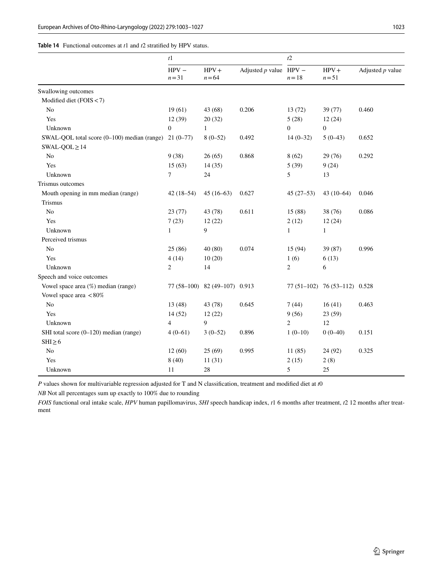<span id="page-21-0"></span>

| <b>Table 14</b> Functional outcomes at $t1$ and $t2$ stratified by HPV status. |  |
|--------------------------------------------------------------------------------|--|
|--------------------------------------------------------------------------------|--|

|                                             | t1                  |                               | t2                       |                |                               |                    |
|---------------------------------------------|---------------------|-------------------------------|--------------------------|----------------|-------------------------------|--------------------|
|                                             | $HPV -$<br>$n = 31$ | $HPV +$<br>$n = 64$           | Adjusted $p$ value HPV – | $n=18$         | $HPV +$<br>$n = 51$           | Adjusted $p$ value |
| Swallowing outcomes                         |                     |                               |                          |                |                               |                    |
| Modified diet (FOIS < 7)                    |                     |                               |                          |                |                               |                    |
| No                                          | 19(61)              | 43 (68)                       | 0.206                    | 13(72)         | 39 (77)                       | 0.460              |
| Yes                                         | 12(39)              | 20(32)                        |                          | 5(28)          | 12(24)                        |                    |
| Unknown                                     | $\Omega$            | $\mathbf{1}$                  |                          | $\Omega$       | $\mathbf{0}$                  |                    |
| SWAL-QOL total score (0–100) median (range) | $21(0-77)$          | $8(0-52)$                     | 0.492                    | $14(0-32)$     | $5(0-43)$                     | 0.652              |
| $SWAL-QOL \geq 14$                          |                     |                               |                          |                |                               |                    |
| N <sub>o</sub>                              | 9(38)               | 26(65)                        | 0.868                    | 8(62)          | 29 (76)                       | 0.292              |
| Yes                                         | 15(63)              | 14(35)                        |                          | 5(39)          | 9(24)                         |                    |
| Unknown                                     | 7                   | 24                            |                          | 5              | 13                            |                    |
| Trismus outcomes                            |                     |                               |                          |                |                               |                    |
| Mouth opening in mm median (range)          | $42(18-54)$         | $45(16-63)$                   | 0.627                    | $45(27-53)$    | $43(10-64)$                   | 0.046              |
| Trismus                                     |                     |                               |                          |                |                               |                    |
| No                                          | 23(77)              | 43 (78)                       | 0.611                    | 15(88)         | 38 (76)                       | 0.086              |
| Yes                                         | 7(23)               | 12(22)                        |                          | 2(12)          | 12(24)                        |                    |
| Unknown                                     | $\mathbf{1}$        | 9                             |                          | $\mathbf{1}$   | $\mathbf{1}$                  |                    |
| Perceived trismus                           |                     |                               |                          |                |                               |                    |
| N <sub>o</sub>                              | 25(86)              | 40(80)                        | 0.074                    | 15(94)         | 39 (87)                       | 0.996              |
| Yes                                         | 4(14)               | 10(20)                        |                          | 1(6)           | 6(13)                         |                    |
| Unknown                                     | $\overline{c}$      | 14                            |                          | $\overline{c}$ | 6                             |                    |
| Speech and voice outcomes                   |                     |                               |                          |                |                               |                    |
| Vowel space area (%) median (range)         |                     | 77 (58-100) 82 (49-107) 0.913 |                          |                | 77 (51-102) 76 (53-112) 0.528 |                    |
| Vowel space area $< 80\%$                   |                     |                               |                          |                |                               |                    |
| No                                          | 13(48)              | 43 (78)                       | 0.645                    | 7(44)          | 16(41)                        | 0.463              |
| Yes                                         | 14(52)              | 12(22)                        |                          | 9(56)          | 23 (59)                       |                    |
| Unknown                                     | $\overline{4}$      | 9                             |                          | $\overline{2}$ | 12                            |                    |
| SHI total score (0-120) median (range)      | $4(0-61)$           | $3(0-52)$                     | 0.896                    | $1(0-10)$      | $0(0-40)$                     | 0.151              |
| $SHI \geq 6$                                |                     |                               |                          |                |                               |                    |
| No                                          | 12(60)              | 25(69)                        | 0.995                    | 11(85)         | 24 (92)                       | 0.325              |
| Yes                                         | 8(40)               | 11(31)                        |                          | 2(15)          | 2(8)                          |                    |
| Unknown                                     | 11                  | 28                            |                          | 5              | 25                            |                    |

*P* values shown for multivariable regression adjusted for T and N classifcation, treatment and modifed diet at *t*0

*NB* Not all percentages sum up exactly to 100% due to rounding

*FOIS* functional oral intake scale, *HPV* human papillomavirus, *SHI* speech handicap index, *t*1 6 months after treatment, *t*2 12 months after treatment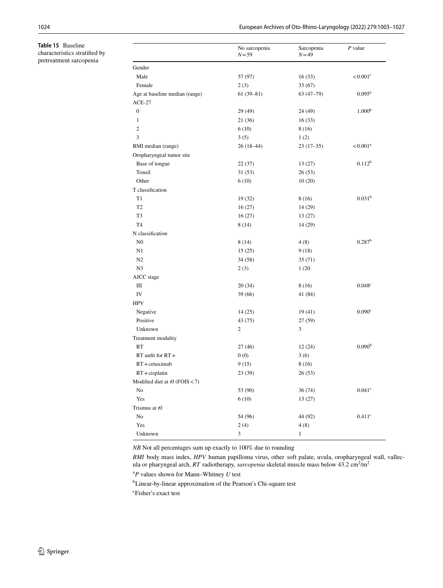<span id="page-22-0"></span>**Table 15** Baseline characteristics stratifed by pretreatment sarcopenia

|                                  | No sarcopenia<br>$N = 59$ | Sarcopenia<br>$N = 49$ | $P$ value              |
|----------------------------------|---------------------------|------------------------|------------------------|
| Gender                           |                           |                        |                        |
| Male                             | 57 (97)                   | 16(33)                 | $< 0.001$ <sup>c</sup> |
| Female                           | 2(3)                      | 33(67)                 |                        |
| Age at baseline median (range)   | $61(39-81)$               | $63(47-79)$            | $0.095^{\rm a}$        |
| $ACE-27$                         |                           |                        |                        |
| $\mathbf{0}$                     | 29 (49)                   | 24 (49)                | 1.000 <sup>b</sup>     |
| 1                                | 21 (36)                   | 16(33)                 |                        |
| $\mathbf{2}$                     | 6(10)                     | 8 (16)                 |                        |
| 3                                | 3(5)                      | 1(2)                   |                        |
| BMI median (range)               | $26(18-44)$               | $23(17-35)$            | $< 0.001$ <sup>a</sup> |
| Oropharyngeal tumor site         |                           |                        |                        |
| Base of tongue                   | 22(37)                    | 13(27)                 | $0.112^{b}$            |
| Tonsil                           | 31(53)                    | 26(53)                 |                        |
| Other                            | 6(10)                     | 10(20)                 |                        |
| T classification                 |                           |                        |                        |
| T1                               | 19 (32)                   | 8 (16)                 | 0.031 <sup>b</sup>     |
| T <sub>2</sub>                   | 16(27)                    | 14(29)                 |                        |
| T3                               | 16(27)                    | 13(27)                 |                        |
| T <sub>4</sub>                   | 8(14)                     | 14 (29)                |                        |
| N classification                 |                           |                        |                        |
| N <sub>0</sub>                   | 8(14)                     | 4(8)                   | 0.287 <sup>b</sup>     |
| N1                               | 15(25)                    | 9(18)                  |                        |
| N2                               | 34 (58)                   | 35(71)                 |                        |
| N <sub>3</sub>                   | 2(3)                      | 1(20)                  |                        |
| AJCC stage                       |                           |                        |                        |
| Ш                                | 20(34)                    | 8 (16)                 | $0.048^{\circ}$        |
| IV                               | 39(66)                    | 41 (84)                |                        |
| <b>HPV</b>                       |                           |                        |                        |
| Negative                         | 14(25)                    | 19(41)                 | 0.090 <sup>c</sup>     |
| Positive                         | 43 (75)                   | 27 (59)                |                        |
| Unknown                          | 2                         | 3                      |                        |
| Treatment modality               |                           |                        |                        |
| <b>RT</b>                        | 27(46)                    | 12(24)                 | 0.090 <sup>b</sup>     |
| $RT$ unfit for $RT +$            | 0(0)                      | 3(6)                   |                        |
| $RT + c$ etuximab                | 9(15)                     | 8 (16)                 |                        |
| $RT + c$ isplatin                | 23 (39)                   | 26(53)                 |                        |
| Modified diet at $t0$ (FOIS < 7) |                           |                        |                        |
| No                               | 53 (90)                   | 36(74)                 | $0.041$ c              |
| Yes                              | 6(10)                     | 13(27)                 |                        |
| Trismus at t0                    |                           |                        |                        |
| No                               | 54 (96)                   | 44 (92)                | $0.411$ <sup>c</sup>   |
| Yes                              | 2(4)                      | 4(8)                   |                        |
| Unknown                          | $\mathfrak{Z}$            | $\mathbf{1}$           |                        |

*BMI* body mass index, *HPV* human papilloma virus, other soft palate, uvula, oropharyngeal wall, vallecula or pharyngeal arch, *RT* radiotherapy, *sarcopenia* skeletal muscle mass below 43.2 cm<sup>2</sup>/m<sup>2</sup>

a *P* values shown for Mann–Whitney *U* test

<sup>b</sup>Linear-by-linear approximation of the Pearson's Chi-square test

c Fisher's exact test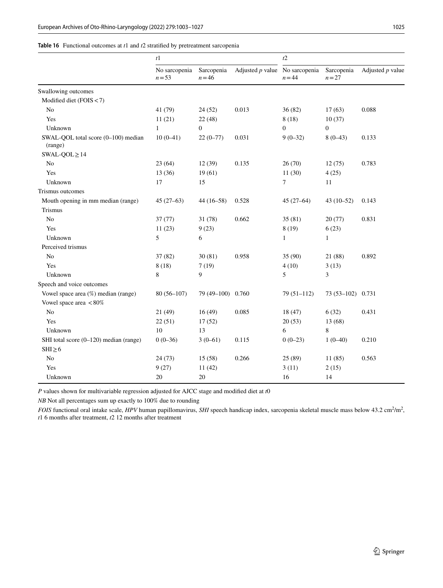#### <span id="page-23-0"></span>**Table 16** Functional outcomes at *t*1 and *t*2 stratifed by pretreatment sarcopenia

|                                                | t1                        |                        | t2                               |                |                      |                    |
|------------------------------------------------|---------------------------|------------------------|----------------------------------|----------------|----------------------|--------------------|
|                                                | No sarcopenia<br>$n = 53$ | Sarcopenia<br>$n = 46$ | Adjusted $p$ value No sarcopenia | $n = 44$       | Sarcopenia<br>$n=27$ | Adjusted $p$ value |
| Swallowing outcomes                            |                           |                        |                                  |                |                      |                    |
| Modified diet (FOIS < 7)                       |                           |                        |                                  |                |                      |                    |
| No                                             | 41 (79)                   | 24(52)                 | 0.013                            | 36(82)         | 17(63)               | 0.088              |
| Yes                                            | 11(21)                    | 22(48)                 |                                  | 8(18)          | 10(37)               |                    |
| Unknown                                        | $\mathbf{1}$              | $\overline{0}$         |                                  | $\mathbf{0}$   | $\mathbf{0}$         |                    |
| SWAL-QOL total score (0-100) median<br>(range) | $10(0-41)$                | $22(0-77)$             | 0.031                            | $9(0-32)$      | $8(0-43)$            | 0.133              |
| $SWAL-QOL \geq 14$                             |                           |                        |                                  |                |                      |                    |
| N <sub>o</sub>                                 | 23(64)                    | 12(39)                 | 0.135                            | 26(70)         | 12(75)               | 0.783              |
| Yes                                            | 13 (36)                   | 19(61)                 |                                  | 11(30)         | 4(25)                |                    |
| Unknown                                        | 17                        | 15                     |                                  | $\overline{7}$ | 11                   |                    |
| Trismus outcomes                               |                           |                        |                                  |                |                      |                    |
| Mouth opening in mm median (range)             | $45(27-63)$               | $44(16-58)$            | 0.528                            | $45(27-64)$    | $43(10-52)$          | 0.143              |
| Trismus                                        |                           |                        |                                  |                |                      |                    |
| N <sub>o</sub>                                 | 37(77)                    | 31(78)                 | 0.662                            | 35(81)         | 20(77)               | 0.831              |
| Yes                                            | 11(23)                    | 9(23)                  |                                  | 8(19)          | 6(23)                |                    |
| Unknown                                        | 5                         | 6                      |                                  | $\mathbf{1}$   | $\mathbf{1}$         |                    |
| Perceived trismus                              |                           |                        |                                  |                |                      |                    |
| N <sub>o</sub>                                 | 37 (82)                   | 30(81)                 | 0.958                            | 35(90)         | 21 (88)              | 0.892              |
| Yes                                            | 8(18)                     | 7(19)                  |                                  | 4(10)          | 3(13)                |                    |
| Unknown                                        | 8                         | 9                      |                                  | 5              | 3                    |                    |
| Speech and voice outcomes                      |                           |                        |                                  |                |                      |                    |
| Vowel space area (%) median (range)            | $80(56-107)$              | 79 (49-100) 0.760      |                                  | $79(51-112)$   | 73 (53-102) 0.731    |                    |
| Vowel space area <80%                          |                           |                        |                                  |                |                      |                    |
| No                                             | 21 (49)                   | 16(49)                 | 0.085                            | 18(47)         | 6(32)                | 0.431              |
| Yes                                            | 22(51)                    | 17(52)                 |                                  | 20(53)         | 13(68)               |                    |
| Unknown                                        | 10                        | 13                     |                                  | 6              | 8                    |                    |
| SHI total score (0-120) median (range)         | $0(0-36)$                 | $3(0-61)$              | 0.115                            | $0(0-23)$      | $1(0-40)$            | 0.210              |
| $SHI \geq 6$                                   |                           |                        |                                  |                |                      |                    |
| N <sub>o</sub>                                 | 24(73)                    | 15(58)                 | 0.266                            | 25(89)         | 11(85)               | 0.563              |
| Yes                                            | 9(27)                     | 11(42)                 |                                  | 3(11)          | 2(15)                |                    |
| Unknown                                        | 20                        | $20\,$                 |                                  | 16             | 14                   |                    |

*P* values shown for multivariable regression adjusted for AJCC stage and modifed diet at *t*0

*NB* Not all percentages sum up exactly to 100% due to rounding

*FOIS* functional oral intake scale, *HPV* human papillomavirus, *SHI* speech handicap index, sarcopenia skeletal muscle mass below 43.2 cm<sup>2</sup>/m<sup>2</sup>, *t*1 6 months after treatment, *t*2 12 months after treatment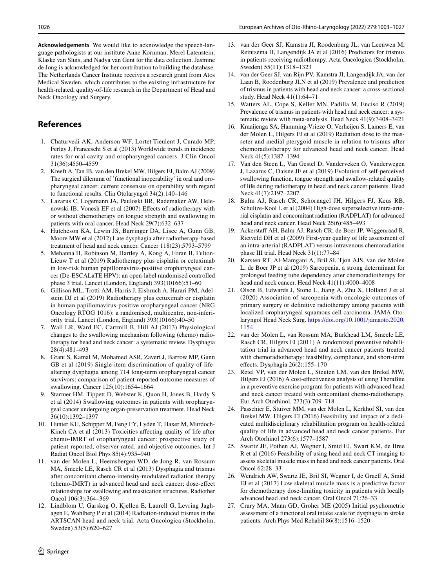**Acknowledgements** We would like to acknowledge the speech-language pathologists at our institute Anne Kornman, Merel Latenstein, Klaske van Sluis, and Nadya van Gent for the data collection. Jasmine de Jong is acknowledged for her contribution to building the database. The Netherlands Cancer Institute receives a research grant from Atos Medical Sweden, which contributes to the existing infrastructure for health-related, quality-of-life research in the Department of Head and Neck Oncology and Surgery.

# **References**

- <span id="page-24-0"></span>1. Chaturvedi AK, Anderson WF, Lortet-Tieulent J, Curado MP, Ferlay J, Franceschi S et al (2013) Worldwide trends in incidence rates for oral cavity and oropharyngeal cancers. J Clin Oncol 31(36):4550–4559
- <span id="page-24-1"></span>2. Kreeft A, Tan IB, van den Brekel MW, Hilgers FJ, Balm AJ (2009) The surgical dilemma of 'functional inoperability' in oral and oropharyngeal cancer: current consensus on operability with regard to functional results. Clin Otolaryngol 34(2):140–146
- <span id="page-24-2"></span>3. Lazarus C, Logemann JA, Pauloski BR, Rademaker AW, Helenowski IB, Vonesh EF et al (2007) Efects of radiotherapy with or without chemotherapy on tongue strength and swallowing in patients with oral cancer. Head Neck 29(7):632–637
- <span id="page-24-4"></span>4. Hutcheson KA, Lewin JS, Barringer DA, Lisec A, Gunn GB, Moore MW et al (2012) Late dysphagia after radiotherapy-based treatment of head and neck cancer. Cancer 118(23):5793–5799
- <span id="page-24-22"></span>5. Mehanna H, Robinson M, Hartley A, Kong A, Foran B, Fulton-Lieuw T et al (2019) Radiotherapy plus cisplatin or cetuximab in low-risk human papillomavirus-positive oropharyngeal cancer (De-ESCALaTE HPV): an open-label randomised controlled phase 3 trial. Lancet (London, England) 393(10166):51–60
- <span id="page-24-3"></span>6. Gillison ML, Trotti AM, Harris J, Eisbruch A, Harari PM, Adelstein DJ et al (2019) Radiotherapy plus cetuximab or cisplatin in human papillomavirus-positive oropharyngeal cancer (NRG Oncology RTOG 1016): a randomised, multicentre, non-inferiority trial. Lancet (London, England) 393(10166):40–50
- <span id="page-24-5"></span>7. Wall LR, Ward EC, Cartmill B, Hill AJ (2013) Physiological changes to the swallowing mechanism following (chemo) radiotherapy for head and neck cancer: a systematic review. Dysphagia 28(4):481–493
- 8. Grant S, Kamal M, Mohamed ASR, Zaveri J, Barrow MP, Gunn GB et al (2019) Single-item discrimination of quality-of-lifealtering dysphagia among 714 long-term oropharyngeal cancer survivors: comparison of patient-reported outcome measures of swallowing. Cancer 125(10):1654–1664
- <span id="page-24-20"></span>9. Starmer HM, Tippett D, Webster K, Quon H, Jones B, Hardy S et al (2014) Swallowing outcomes in patients with oropharyngeal cancer undergoing organ-preservation treatment. Head Neck 36(10):1392–1397
- <span id="page-24-6"></span>10. Hunter KU, Schipper M, Feng FY, Lyden T, Haxer M, Murdoch-Kinch CA et al (2013) Toxicities afecting quality of life after chemo-IMRT of oropharyngeal cancer: prospective study of patient-reported, observer-rated, and objective outcomes. Int J Radiat Oncol Biol Phys 85(4):935–940
- <span id="page-24-7"></span>11. van der Molen L, Heemsbergen WD, de Jong R, van Rossum MA, Smeele LE, Rasch CR et al (2013) Dysphagia and trismus after concomitant chemo-intensity-modulated radiation therapy (chemo-IMRT) in advanced head and neck cancer; dose-efect relationships for swallowing and mastication structures. Radiother Oncol 106(3):364–369
- 12. Lindblom U, Garskog O, Kjellen E, Laurell G, Levring Jaghagen E, Wahlberg P et al (2014) Radiation-induced trismus in the ARTSCAN head and neck trial. Acta Oncologica (Stockholm, Sweden) 53(5):620–627
- 13. van der Geer SJ, Kamstra JI, Roodenburg JL, van Leeuwen M, Reintsema H, Langendijk JA et al (2016) Predictors for trismus in patients receiving radiotherapy. Acta Oncologica (Stockholm, Sweden) 55(11):1318–1323
- 14. van der Geer SJ, van Rijn PV, Kamstra JI, Langendijk JA, van der Laan B, Roodenburg JLN et al (2019) Prevalence and prediction of trismus in patients with head and neck cancer: a cross-sectional study. Head Neck 41(1):64–71
- <span id="page-24-21"></span>15. Watters AL, Cope S, Keller MN, Padilla M, Enciso R (2019) Prevalence of trismus in patients with head and neck cancer: a systematic review with meta-analysis. Head Neck 41(9):3408–3421
- <span id="page-24-8"></span>16. Kraaijenga SA, Hamming-Vrieze O, Verheijen S, Lamers E, van der Molen L, Hilgers FJ et al (2019) Radiation dose to the masseter and medial pterygoid muscle in relation to trismus after chemoradiotherapy for advanced head and neck cancer. Head Neck 41(5):1387–1394
- <span id="page-24-9"></span>17. Van den Steen L, Van Gestel D, Vanderveken O, Vanderwegen J, Lazarus C, Daisne JF et al (2019) Evolution of self-perceived swallowing function, tongue strength and swallow-related quality of life during radiotherapy in head and neck cancer patients. Head Neck 41(7):2197–2207
- <span id="page-24-10"></span>18. Balm AJ, Rasch CR, Schornagel JH, Hilgers FJ, Keus RB, Schultze-Kool L et al (2004) High-dose superselective intra-arterial cisplatin and concomitant radiation (RADPLAT) for advanced head and neck cancer. Head Neck 26(6):485–493
- <span id="page-24-11"></span>19. Ackerstaff AH, Balm AJ, Rasch CR, de Boer JP, Wiggenraad R, Rietveld DH et al (2009) First-year quality of life assessment of an intra-arterial (RADPLAT) versus intravenous chemoradiation phase III trial. Head Neck 31(1):77–84
- <span id="page-24-12"></span>20. Karsten RT, Al-Mamgani A, Bril SI, Tjon AJS, van der Molen L, de Boer JP et al (2019) Sarcopenia, a strong determinant for prolonged feeding tube dependency after chemoradiotherapy for head and neck cancer. Head Neck 41(11):4000–4008
- <span id="page-24-13"></span>21. Olson B, Edwards J, Stone L, Jiang A, Zhu X, Holland J et al (2020) Association of sarcopenia with oncologic outcomes of primary surgery or defnitive radiotherapy among patients with localized oropharyngeal squamous cell carcinoma. JAMA Otolaryngol Head Neck Surg. [https://doi.org/10.1001/jamaoto.2020.](https://doi.org/10.1001/jamaoto.2020.1154) [1154](https://doi.org/10.1001/jamaoto.2020.1154)
- <span id="page-24-14"></span>22. van der Molen L, van Rossum MA, Burkhead LM, Smeele LE, Rasch CR, Hilgers FJ (2011) A randomized preventive rehabilitation trial in advanced head and neck cancer patients treated with chemoradiotherapy: feasibility, compliance, and short-term efects. Dysphagia 26(2):155–170
- <span id="page-24-15"></span>23. Retel VP, van der Molen L, Steuten LM, van den Brekel MW, Hilgers FJ (2016) A cost-efectiveness analysis of using TheraBite in a preventive exercise program for patients with advanced head and neck cancer treated with concomitant chemo-radiotherapy. Eur Arch Otorhinol. 273(3):709–718
- <span id="page-24-16"></span>24. Passchier E, Stuiver MM, van der Molen L, Kerkhof SI, van den Brekel MW, Hilgers FJ (2016) Feasibility and impact of a dedicated multidisciplinary rehabilitation program on health-related quality of life in advanced head and neck cancer patients. Eur Arch Otorhinol 273(6):1577–1587
- <span id="page-24-17"></span>25. Swartz JE, Pothen AJ, Wegner I, Smid EJ, Swart KM, de Bree R et al (2016) Feasibility of using head and neck CT imaging to assess skeletal muscle mass in head and neck cancer patients. Oral Oncol 62:28–33
- <span id="page-24-18"></span>26. Wendrich AW, Swartz JE, Bril SI, Wegner I, de Graef A, Smid EJ et al (2017) Low skeletal muscle mass is a predictive factor for chemotherapy dose-limiting toxicity in patients with locally advanced head and neck cancer. Oral Oncol 71:26–33
- <span id="page-24-19"></span>27. Crary MA, Mann GD, Groher ME (2005) Initial psychometric assessment of a functional oral intake scale for dysphagia in stroke patients. Arch Phys Med Rehabil 86(8):1516–1520